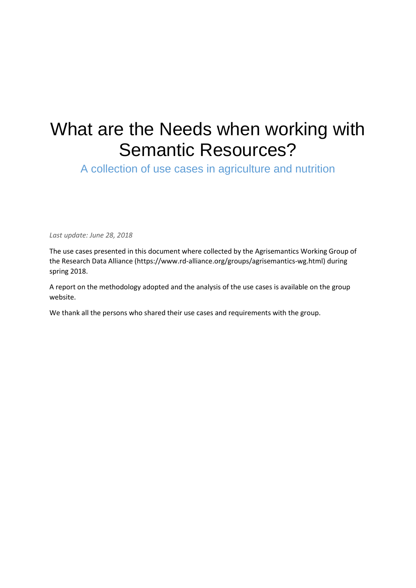# What are the Needs when working with Semantic Resources?

A collection of use cases in agriculture and nutrition

*Last update: June 28, 2018*

The use cases presented in this document where collected by the Agrisemantics Working Group of the Research Data Alliance (https://www.rd-alliance.org/groups/agrisemantics-wg.html) during spring 2018.

A report on the methodology adopted and the analysis of the use cases is available on the group website.

We thank all the persons who shared their use cases and requirements with the group.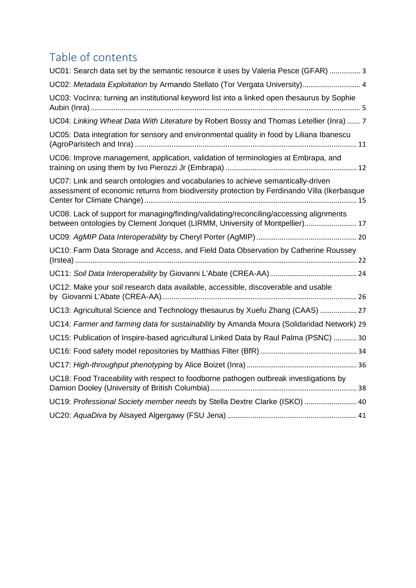# Table of contents

| UC01: Search data set by the semantic resource it uses by Valeria Pesce (GFAR)  3                                                                                               |
|---------------------------------------------------------------------------------------------------------------------------------------------------------------------------------|
| UC02: Metadata Exploitation by Armando Stellato (Tor Vergata University) 4                                                                                                      |
| UC03: VocInra: turning an institutional keyword list into a linked open thesaurus by Sophie                                                                                     |
| UC04: Linking Wheat Data With Literature by Robert Bossy and Thomas Letellier (Inra)  7                                                                                         |
| UC05: Data integration for sensory and environmental quality in food by Liliana Ibanescu                                                                                        |
| UC06: Improve management, application, validation of terminologies at Embrapa, and                                                                                              |
| UC07: Link and search ontologies and vocabularies to achieve semantically-driven<br>assessment of economic returns from biodiversity protection by Ferdinando Villa (Ikerbasque |
| UC08: Lack of support for managing/finding/validating/reconciling/accessing alignments<br>between ontologies by Clement Jonquet (LIRMM, University of Montpellier) 17           |
|                                                                                                                                                                                 |
| UC10: Farm Data Storage and Access, and Field Data Observation by Catherine Roussey                                                                                             |
|                                                                                                                                                                                 |
| UC12: Make your soil research data available, accessible, discoverable and usable                                                                                               |
| UC13: Agricultural Science and Technology thesaurus by Xuefu Zhang (CAAS)  27                                                                                                   |
| UC14: Farmer and farming data for sustainability by Amanda Moura (Solidaridad Network) 29                                                                                       |
| UC15: Publication of Inspire-based agricultural Linked Data by Raul Palma (PSNC)  30                                                                                            |
|                                                                                                                                                                                 |
|                                                                                                                                                                                 |
| UC18: Food Traceability with respect to foodborne pathogen outbreak investigations by                                                                                           |
| UC19: Professional Society member needs by Stella Dextre Clarke (ISKO)  40                                                                                                      |
|                                                                                                                                                                                 |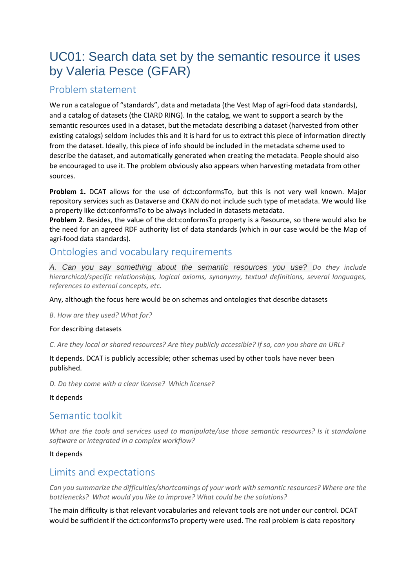# <span id="page-2-0"></span>UC01: Search data set by the semantic resource it uses by Valeria Pesce (GFAR)

# Problem statement

We run a catalogue of "standards", data and metadata (the Vest Map of agri-food data standards), and a catalog of datasets (the CIARD RING). In the catalog, we want to support a search by the semantic resources used in a dataset, but the metadata describing a dataset (harvested from other existing catalogs) seldom includes this and it is hard for us to extract this piece of information directly from the dataset. Ideally, this piece of info should be included in the metadata scheme used to describe the dataset, and automatically generated when creating the metadata. People should also be encouraged to use it. The problem obviously also appears when harvesting metadata from other sources.

**Problem 1.** DCAT allows for the use of dct:conformsTo, but this is not very well known. Major repository services such as Dataverse and CKAN do not include such type of metadata. We would like a property like dct:conformsTo to be always included in datasets metadata.

**Problem 2**. Besides, the value of the dct:conformsTo property is a Resource, so there would also be the need for an agreed RDF authority list of data standards (which in our case would be the Map of agri-food data standards).

# Ontologies and vocabulary requirements

*A. Can you say something about the semantic resources you use? Do they include hierarchical/specific relationships, logical axioms, synonymy, textual definitions, several languages, references to external concepts, etc.* 

#### Any, although the focus here would be on schemas and ontologies that describe datasets

*B. How are they used? What for?* 

#### For describing datasets

*C. Are they local or shared resources? Are they publicly accessible? If so, can you share an URL?* 

It depends. DCAT is publicly accessible; other schemas used by other tools have never been published.

*D. Do they come with a clear license? Which license?*

It depends

# Semantic toolkit

*What are the tools and services used to manipulate/use those semantic resources? Is it standalone software or integrated in a complex workflow?*

#### It depends

# Limits and expectations

*Can you summarize the difficulties/shortcomings of your work with semantic resources? Where are the bottlenecks? What would you like to improve? What could be the solutions?*

The main difficulty is that relevant vocabularies and relevant tools are not under our control. DCAT would be sufficient if the dct:conformsTo property were used. The real problem is data repository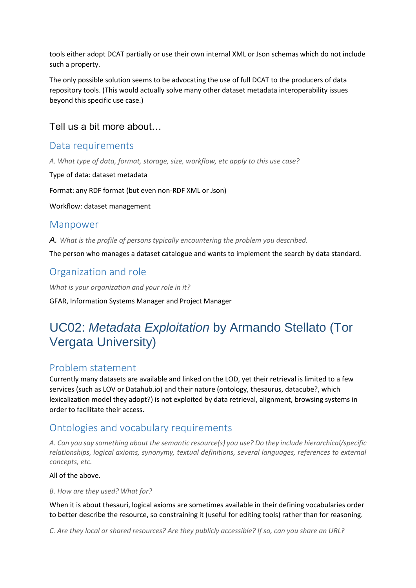tools either adopt DCAT partially or use their own internal XML or Json schemas which do not include such a property.

The only possible solution seems to be advocating the use of full DCAT to the producers of data repository tools. (This would actually solve many other dataset metadata interoperability issues beyond this specific use case.)

## Tell us a bit more about…

## Data requirements

*A. What type of data, format, storage, size, workflow, etc apply to this use case?*

Type of data: dataset metadata

Format: any RDF format (but even non-RDF XML or Json)

Workflow: dataset management

### Manpower

*A. What is the profile of persons typically encountering the problem you described.*

The person who manages a dataset catalogue and wants to implement the search by data standard.

# Organization and role

*What is your organization and your role in it?* GFAR, Information Systems Manager and Project Manager

# <span id="page-3-0"></span>UC02: *Metadata Exploitation* by Armando Stellato (Tor Vergata University)

## Problem statement

Currently many datasets are available and linked on the LOD, yet their retrieval is limited to a few services (such as LOV or Datahub.io) and their nature (ontology, thesaurus, datacube?, which lexicalization model they adopt?) is not exploited by data retrieval, alignment, browsing systems in order to facilitate their access.

# Ontologies and vocabulary requirements

*A. Can you say something about the semantic resource(s) you use? Do they include hierarchical/specific relationships, logical axioms, synonymy, textual definitions, several languages, references to external concepts, etc.* 

All of the above.

*B. How are they used? What for?* 

When it is about thesauri, logical axioms are sometimes available in their defining vocabularies order to better describe the resource, so constraining it (useful for editing tools) rather than for reasoning.

*C. Are they local or shared resources? Are they publicly accessible? If so, can you share an URL?*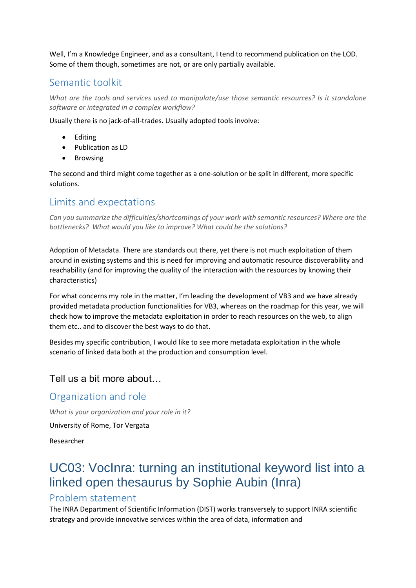Well, I'm a Knowledge Engineer, and as a consultant, I tend to recommend publication on the LOD. Some of them though, sometimes are not, or are only partially available.

## Semantic toolkit

*What are the tools and services used to manipulate/use those semantic resources? Is it standalone software or integrated in a complex workflow?*

Usually there is no jack-of-all-trades. Usually adopted tools involve:

- Editing
- Publication as LD
- Browsing

The second and third might come together as a one-solution or be split in different, more specific solutions.

# Limits and expectations

*Can you summarize the difficulties/shortcomings of your work with semantic resources? Where are the bottlenecks? What would you like to improve? What could be the solutions?*

Adoption of Metadata. There are standards out there, yet there is not much exploitation of them around in existing systems and this is need for improving and automatic resource discoverability and reachability (and for improving the quality of the interaction with the resources by knowing their characteristics)

For what concerns my role in the matter, I'm leading the development of VB3 and we have already provided metadata production functionalities for VB3, whereas on the roadmap for this year, we will check how to improve the metadata exploitation in order to reach resources on the web, to align them etc.. and to discover the best ways to do that.

Besides my specific contribution, I would like to see more metadata exploitation in the whole scenario of linked data both at the production and consumption level.

# Tell us a bit more about…

# Organization and role

*What is your organization and your role in it?*

University of Rome, Tor Vergata

Researcher

# <span id="page-4-0"></span>UC03: VocInra: turning an institutional keyword list into a linked open thesaurus by Sophie Aubin (Inra)

## Problem statement

The INRA Department of Scientific Information (DIST) works transversely to support INRA scientific strategy and provide innovative services within the area of data, information and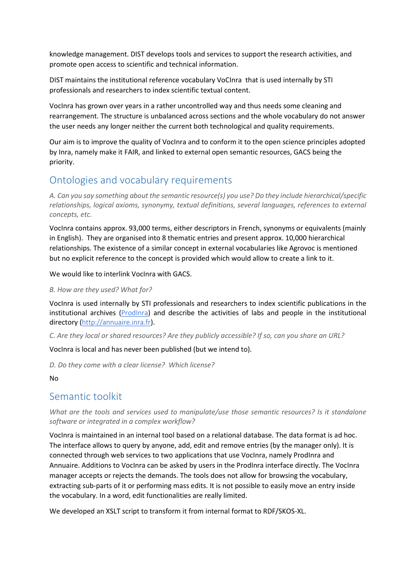knowledge management. DIST develops tools and services to support the research activities, and promote open access to scientific and technical information.

DIST maintains the institutional reference vocabulary VoCInra that is used internally by STI professionals and researchers to index scientific textual content.

VocInra has grown over years in a rather uncontrolled way and thus needs some cleaning and rearrangement. The structure is unbalanced across sections and the whole vocabulary do not answer the user needs any longer neither the current both technological and quality requirements.

Our aim is to improve the quality of VocInra and to conform it to the open science principles adopted by Inra, namely make it FAIR, and linked to external open semantic resources, GACS being the priority.

# Ontologies and vocabulary requirements

*A. Can you say something about the semantic resource(s) you use? Do they include hierarchical/specific relationships, logical axioms, synonymy, textual definitions, several languages, references to external concepts, etc.* 

VocInra contains approx. 93,000 terms, either descriptors in French, synonyms or equivalents (mainly in English). They are organised into 8 thematic entries and present approx. 10,000 hierarchical relationships. The existence of a similar concept in external vocabularies like Agrovoc is mentioned but no explicit reference to the concept is provided which would allow to create a link to it.

We would like to interlink VocInra with GACS.

#### *B. How are they used? What for?*

VocInra is used internally by STI professionals and researchers to index scientific publications in the institutional archives ([ProdInra](http://prodinra.inra.fr/)) and describe the activities of labs and people in the institutional directory ([http://annuaire.inra.fr](http://annuaire.inra.fr/)).

*C. Are they local or shared resources? Are they publicly accessible? If so, can you share an URL?* 

VocInra is local and has never been published (but we intend to).

*D. Do they come with a clear license? Which license?*

No

# Semantic toolkit

*What are the tools and services used to manipulate/use those semantic resources? Is it standalone software or integrated in a complex workflow?*

VocInra is maintained in an internal tool based on a relational database. The data format is ad hoc. The interface allows to query by anyone, add, edit and remove entries (by the manager only). It is connected through web services to two applications that use VocInra, namely ProdInra and Annuaire. Additions to VocInra can be asked by users in the ProdInra interface directly. The VocInra manager accepts or rejects the demands. The tools does not allow for browsing the vocabulary, extracting sub-parts of it or performing mass edits. It is not possible to easily move an entry inside the vocabulary. In a word, edit functionalities are really limited.

We developed an XSLT script to transform it from internal format to RDF/SKOS-XL.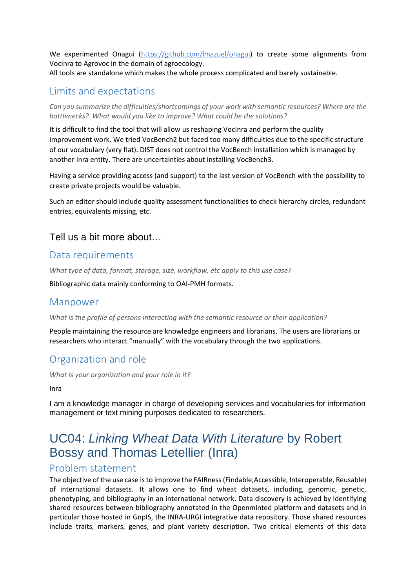We experimented Onagui (<https://github.com/lmazuel/onagui>) to create some alignments from VocInra to Agrovoc in the domain of agroecology. All tools are standalone which makes the whole process complicated and barely sustainable.

# Limits and expectations

*Can you summarize the difficulties/shortcomings of your work with semantic resources? Where are the bottlenecks? What would you like to improve? What could be the solutions?*

It is difficult to find the tool that will allow us reshaping VocInra and perform the quality improvement work. We tried VocBench2 but faced too many difficulties due to the specific structure of our vocabulary (very flat). DIST does not control the VocBench installation which is managed by another Inra entity. There are uncertainties about installing VocBench3.

Having a service providing access (and support) to the last version of VocBench with the possibility to create private projects would be valuable.

Such an editor should include quality assessment functionalities to check hierarchy circles, redundant entries, equivalents missing, etc.

## Tell us a bit more about…

## Data requirements

*What type of data, format, storage, size, workflow, etc apply to this use case?*

Bibliographic data mainly conforming to OAI-PMH formats.

#### Manpower

*What is the profile of persons interacting with the semantic resource or their application?*

People maintaining the resource are knowledge engineers and librarians. The users are librarians or researchers who interact "manually" with the vocabulary through the two applications.

# Organization and role

*What is your organization and your role in it?*

Inra

I am a knowledge manager in charge of developing services and vocabularies for information management or text mining purposes dedicated to researchers.

# <span id="page-6-0"></span>UC04: *Linking Wheat Data With Literature* by Robert Bossy and Thomas Letellier (Inra)

## Problem statement

The objective of the use case is to improve the FAIRness (Findable,Accessible, Interoperable, Reusable) of international datasets. It allows one to find wheat datasets, including, genomic, genetic, phenotyping, and bibliography in an international network. Data discovery is achieved by identifying shared resources between bibliography annotated in the Openminted platform and datasets and in particular those hosted in GnpIS, the INRA-URGI integrative data repository. Those shared resources include traits, markers, genes, and plant variety description. Two critical elements of this data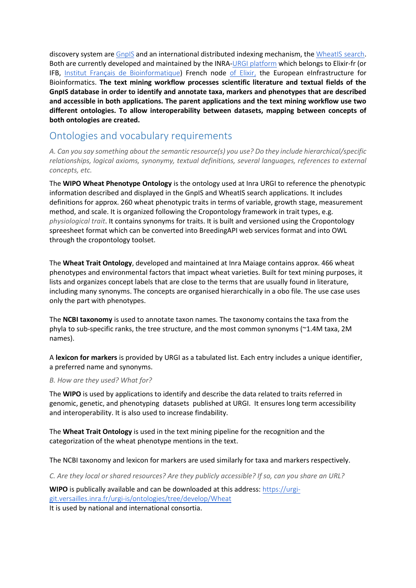discovery system are [GnpIS](https://urgi.versailles.inra.fr/gnpis/) and an international distributed indexing mechanism, the [WheatIS](https://urgi.versailles.inra.fr/wheatis/) search. Both are currently developed and maintained by the INRA-[URGI platform](https://urgi.versailles.inra.fr/) which belongs to Elixir-fr (or IFB, [Institut Français de Bioinformatique](http://www.france-bioinformatique.fr/)) French node of [Elixir,](https://www.elixir-europe.org/) the European eInfrastructure for Bioinformatics. **The text mining workflow processes scientific literature and textual fields of the GnpIS database in order to identify and annotate taxa, markers and phenotypes that are described and accessible in both applications. The parent applications and the text mining workflow use two different ontologies. To allow interoperability between datasets, mapping between concepts of both ontologies are created.**

# Ontologies and vocabulary requirements

*A. Can you say something about the semantic resource(s) you use? Do they include hierarchical/specific relationships, logical axioms, synonymy, textual definitions, several languages, references to external concepts, etc.* 

The **WIPO Wheat Phenotype Ontology** is the ontology used at Inra URGI to reference the phenotypic information described and displayed in the GnpIS and WheatIS search applications. It includes definitions for approx. 260 wheat phenotypic traits in terms of variable, growth stage, measurement method, and scale. It is organized following the Cropontology framework in trait types, e.g. *physiological trait*. It contains synonyms for traits. It is built and versioned using the Cropontology spreesheet format which can be converted into BreedingAPI web services format and into OWL through the cropontology toolset.

The **Wheat Trait Ontology**, developed and maintained at Inra Maiage contains approx. 466 wheat phenotypes and environmental factors that impact wheat varieties. Built for text mining purposes, it lists and organizes concept labels that are close to the terms that are usually found in literature, including many synonyms. The concepts are organised hierarchically in a obo file. The use case uses only the part with phenotypes.

The **NCBI taxonomy** is used to annotate taxon names. The taxonomy contains the taxa from the phyla to sub-specific ranks, the tree structure, and the most common synonyms (~1.4M taxa, 2M names).

A **lexicon for markers** is provided by URGI as a tabulated list. Each entry includes a unique identifier, a preferred name and synonyms.

#### *B. How are they used? What for?*

The **WIPO** is used by applications to identify and describe the data related to traits referred in genomic, genetic, and phenotyping datasets published at URGI. It ensures long term accessibility and interoperability. It is also used to increase findability.

The **Wheat Trait Ontology** is used in the text mining pipeline for the recognition and the categorization of the wheat phenotype mentions in the text.

The NCBI taxonomy and lexicon for markers are used similarly for taxa and markers respectively.

*C. Are they local or shared resources? Are they publicly accessible? If so, can you share an URL?* 

**WIPO** is publically available and can be downloaded at this address: [https://urgi](https://urgi-git.versailles.inra.fr/urgi-is/ontologies/tree/develop/Wheat)[git.versailles.inra.fr/urgi-is/ontologies/tree/develop/Wheat](https://urgi-git.versailles.inra.fr/urgi-is/ontologies/tree/develop/Wheat)

It is used by national and international consortia.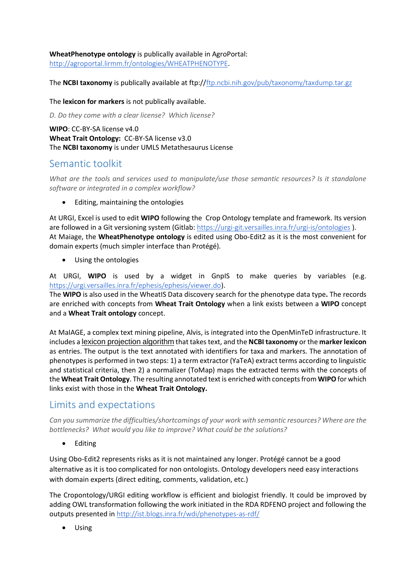#### **WheatPhenotype ontology** is publically available in AgroPortal:

<http://agroportal.lirmm.fr/ontologies/WHEATPHENOTYPE>.

The **NCBI taxonomy** is publically available at ftp://[ftp.ncbi.nih.gov/pub/taxonomy/taxdump.tar.gz](http://ftp.ncbi.nih.gov/pub/taxonomy/taxdump.tar.gz)

The **lexicon for markers** is not publically available.

*D. Do they come with a clear license? Which license?*

**WIPO**: CC-BY-SA license v4.0 **Wheat Trait Ontology:** CC-BY-SA license v3.0 The **NCBI taxonomy** is under UMLS Metathesaurus License

## Semantic toolkit

*What are the tools and services used to manipulate/use those semantic resources? Is it standalone software or integrated in a complex workflow?*

• Editing, maintaining the ontologies

At URGI, Excel is used to edit **WIPO** following the Crop Ontology template and framework. Its version are followed in a Git versioning system (Gitlab: <https://urgi-git.versailles.inra.fr/urgi-is/ontologies> ). At Maiage, the **WheatPhenotype ontology** is edited using Obo-Edit2 as it is the most convenient for domain experts (much simpler interface than Protégé).

Using the ontologies

At URGI, **WIPO** is used by a widget in GnpIS to make queries by variables (e.g. <https://urgi.versailles.inra.fr/ephesis/ephesis/viewer.do>).

The **WIPO** is also used in the WheatIS Data discovery search for the phenotype data type**.** The records are enriched with concepts from **Wheat Trait Ontology** when a link exists between a **WIPO** concept and a **Wheat Trait ontology** concept.

At MaIAGE, a complex text mining pipeline, Alvis, is integrated into the OpenMinTeD infrastructure. It includes a lexicon projection algorithm that takes text, and the **NCBI taxonomy** or the **marker lexicon** as entries. The output is the text annotated with identifiers for taxa and markers. The annotation of phenotypes is performed in two steps: 1) a term extractor (YaTeA) extract terms according to linguistic and statistical criteria, then 2) a normalizer (ToMap) maps the extracted terms with the concepts of the **Wheat Trait Ontology**. The resulting annotated text is enriched with concepts from **WIPO**for which links exist with those in the **Wheat Trait Ontology.**

# Limits and expectations

*Can you summarize the difficulties/shortcomings of your work with semantic resources? Where are the bottlenecks? What would you like to improve? What could be the solutions?*

• Editing

Using Obo-Edit2 represents risks as it is not maintained any longer. Protégé cannot be a good alternative as it is too complicated for non ontologists. Ontology developers need easy interactions with domain experts (direct editing, comments, validation, etc.)

The Cropontology/URGI editing workflow is efficient and biologist friendly. It could be improved by adding OWL transformation following the work initiated in the RDA RDFENO project and following the outputs presented in <http://ist.blogs.inra.fr/wdi/phenotypes-as-rdf/>

Using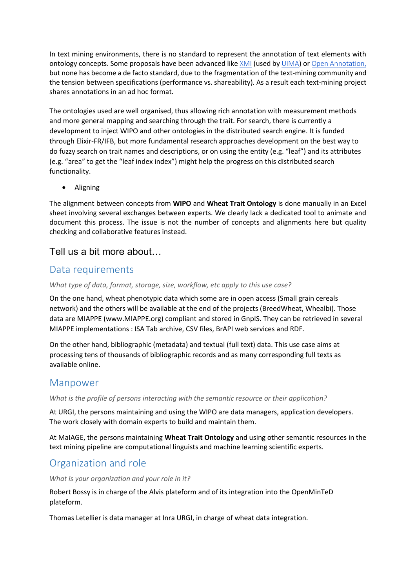In text mining environments, there is no standard to represent the annotation of text elements with ontology concepts. Some proposals have been advanced like [XMI](https://en.wikipedia.org/wiki/XML_Metadata_Interchange) (used by [UIMA](https://uima.apache.org/)) or [Open Annotation,](http://www.openannotation.org/) but none has become a de facto standard, due to the fragmentation of the text-mining community and the tension between specifications (performance vs. shareability). As a result each text-mining project shares annotations in an ad hoc format.

The ontologies used are well organised, thus allowing rich annotation with measurement methods and more general mapping and searching through the trait. For search, there is currently a development to inject WIPO and other ontologies in the distributed search engine. It is funded through Elixir-FR/IFB, but more fundamental research approaches development on the best way to do fuzzy search on trait names and descriptions, or on using the entity (e.g. "leaf") and its attributes (e.g. "area" to get the "leaf index index") might help the progress on this distributed search functionality.

• Aligning

The alignment between concepts from **WIPO** and **Wheat Trait Ontology** is done manually in an Excel sheet involving several exchanges between experts. We clearly lack a dedicated tool to animate and document this process. The issue is not the number of concepts and alignments here but quality checking and collaborative features instead.

## Tell us a bit more about…

### Data requirements

*What type of data, format, storage, size, workflow, etc apply to this use case?*

On the one hand, wheat phenotypic data which some are in open access (Small grain cereals network) and the others will be available at the end of the projects (BreedWheat, Whealbi). Those data are MIAPPE (www.MIAPPE.org) compliant and stored in GnpIS. They can be retrieved in several MIAPPE implementations : ISA Tab archive, CSV files, BrAPI web services and RDF.

On the other hand, bibliographic (metadata) and textual (full text) data. This use case aims at processing tens of thousands of bibliographic records and as many corresponding full texts as available online.

## Manpower

*What is the profile of persons interacting with the semantic resource or their application?*

At URGI, the persons maintaining and using the WIPO are data managers, application developers. The work closely with domain experts to build and maintain them.

At MaIAGE, the persons maintaining **Wheat Trait Ontology** and using other semantic resources in the text mining pipeline are computational linguists and machine learning scientific experts.

# Organization and role

*What is your organization and your role in it?*

Robert Bossy is in charge of the Alvis plateform and of its integration into the OpenMinTeD plateform.

Thomas Letellier is data manager at Inra URGI, in charge of wheat data integration.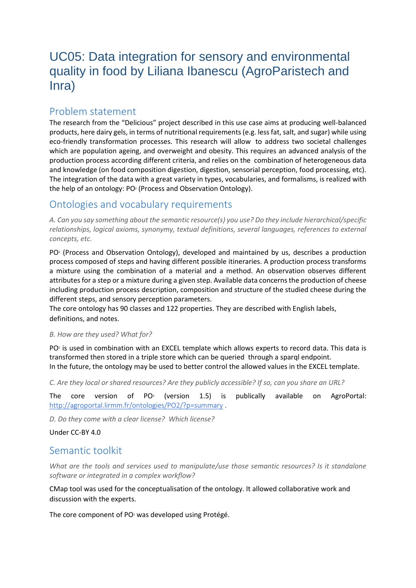# <span id="page-10-0"></span>UC05: Data integration for sensory and environmental quality in food by Liliana Ibanescu (AgroParistech and Inra)

## Problem statement

The research from the "Delicious" project described in this use case aims at producing well-balanced products, here dairy gels, in terms of nutritional requirements (e.g. less fat, salt, and sugar) while using eco-friendly transformation processes. This research will allow to address two societal challenges which are population ageing, and overweight and obesity. This requires an advanced analysis of the production process according different criteria, and relies on the combination of heterogeneous data and knowledge (on food composition digestion, digestion, sensorial perception, food processing, etc). The integration of the data with a great variety in types, vocabularies, and formalisms, is realized with the help of an ontology: PO<sup>2</sup> (Process and Observation Ontology).

# Ontologies and vocabulary requirements

*A. Can you say something about the semantic resource(s) you use? Do they include hierarchical/specific relationships, logical axioms, synonymy, textual definitions, several languages, references to external concepts, etc.* 

PO<sup>2</sup> (Process and Observation Ontology), developed and maintained by us, describes a production process composed of steps and having different possible itineraries. A production process transforms a mixture using the combination of a material and a method. An observation observes different attributes for a step or a mixture during a given step. Available data concerns the production of cheese including production process description, composition and structure of the studied cheese during the different steps, and sensory perception parameters.

The core ontology has 90 classes and 122 properties. They are described with English labels, definitions, and notes.

#### *B. How are they used? What for?*

PO<sup>2</sup> is used in combination with an EXCEL template which allows experts to record data. This data is transformed then stored in a triple store which can be queried through a sparql endpoint. In the future, the ontology may be used to better control the allowed values in the EXCEL template.

*C. Are they local or shared resources? Are they publicly accessible? If so, can you share an URL?* 

The core version of  $PO<sub>2</sub>$ (version 1.5) is publically available on AgroPortal: <http://agroportal.lirmm.fr/ontologies/PO2/?p=summary> .

*D. Do they come with a clear license? Which license?*

Under CC-BY 4.0

## Semantic toolkit

*What are the tools and services used to manipulate/use those semantic resources? Is it standalone software or integrated in a complex workflow?*

CMap tool was used for the conceptualisation of the ontology. It allowed collaborative work and discussion with the experts.

The core component of PO<sup>2</sup> was developed using Protégé.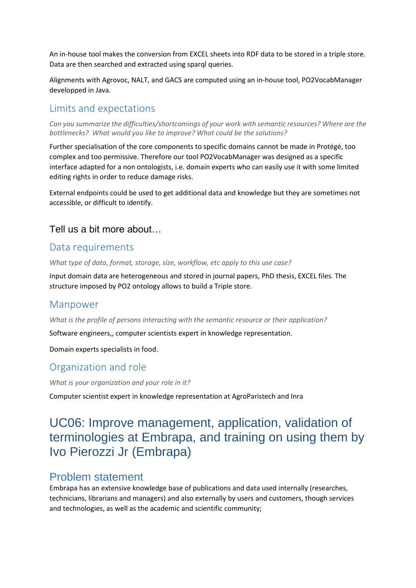An in-house tool makes the conversion from EXCEL sheets into RDF data to be stored in a triple store. Data are then searched and extracted using sparql queries.

Alignments with Agrovoc, NALT, and GACS are computed using an in-house tool, PO2VocabManager developped in Java.

## Limits and expectations

*Can you summarize the difficulties/shortcomings of your work with semantic resources? Where are the bottlenecks? What would you like to improve? What could be the solutions?*

Further specialisation of the core components to specific domains cannot be made in Protégé, too complex and too permissive. Therefore our tool PO2VocabManager was designed as a specific interface adapted for a non ontologists, i.e. domain experts who can easily use it with some limited editing rights in order to reduce damage risks.

External endpoints could be used to get additional data and knowledge but they are sometimes not accessible, or difficult to identify.

#### Tell us a bit more about…

## Data requirements

*What type of data, format, storage, size, workflow, etc apply to this use case?*

Input domain data are heterogeneous and stored in journal papers, PhD thesis, EXCEL files. The structure imposed by PO2 ontology allows to build a Triple store.

#### Manpower

*What is the profile of persons interacting with the semantic resource or their application?*

Software engineers,, computer scientists expert in knowledge representation.

Domain experts specialists in food.

## Organization and role

*What is your organization and your role in it?*

Computer scientist expert in knowledge representation at AgroParistech and Inra

# <span id="page-11-0"></span>UC06: Improve management, application, validation of terminologies at Embrapa, and training on using them by Ivo Pierozzi Jr (Embrapa)

## Problem statement

Embrapa has an extensive knowledge base of publications and data used internally (researches, technicians, librarians and managers) and also externally by users and customers, though services and technologies, as well as the academic and scientific community;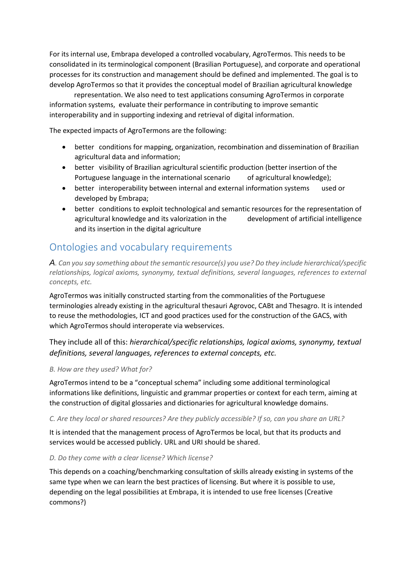For its internal use, Embrapa developed a controlled vocabulary, AgroTermos. This needs to be consolidated in its terminological component (Brasilian Portuguese), and corporate and operational processes for its construction and management should be defined and implemented. The goal is to develop AgroTermos so that it provides the conceptual model of Brazilian agricultural knowledge

representation. We also need to test applications consuming AgroTermos in corporate information systems, evaluate their performance in contributing to improve semantic interoperability and in supporting indexing and retrieval of digital information.

The expected impacts of AgroTermons are the following:

- better conditions for mapping, organization, recombination and dissemination of Brazilian agricultural data and information;
- better visibility of Brazilian agricultural scientific production (better insertion of the Portuguese language in the international scenario of agricultural knowledge);
- better interoperability between internal and external information systems used or developed by Embrapa;
- better conditions to exploit technological and semantic resources for the representation of agricultural knowledge and its valorization in the development of artificial intelligence and its insertion in the digital agriculture

# Ontologies and vocabulary requirements

*A. Can you say something about the semantic resource(s) you use? Do they include hierarchical/specific relationships, logical axioms, synonymy, textual definitions, several languages, references to external concepts, etc.*

AgroTermos was initially constructed starting from the commonalities of the Portuguese terminologies already existing in the agricultural thesauri Agrovoc, CABt and Thesagro. It is intended to reuse the methodologies, ICT and good practices used for the construction of the GACS, with which AgroTermos should interoperate via webservices.

They include all of this: *hierarchical/specific relationships, logical axioms, synonymy, textual definitions, several languages, references to external concepts, etc.*

#### *B. How are they used? What for?*

AgroTermos intend to be a "conceptual schema" including some additional terminological informations like definitions, linguistic and grammar properties or context for each term, aiming at the construction of digital glossaries and dictionaries for agricultural knowledge domains.

#### *C. Are they local or shared resources? Are they publicly accessible? If so, can you share an URL?*

It is intended that the management process of AgroTermos be local, but that its products and services would be accessed publicly. URL and URI should be shared.

#### *D. Do they come with a clear license? Which license?*

This depends on a coaching/benchmarking consultation of skills already existing in systems of the same type when we can learn the best practices of licensing. But where it is possible to use, depending on the legal possibilities at Embrapa, it is intended to use free licenses (Creative commons?)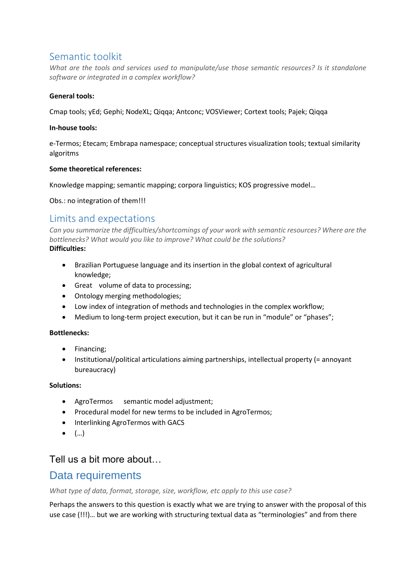# Semantic toolkit

*What are the tools and services used to manipulate/use those semantic resources? Is it standalone software or integrated in a complex workflow?*

#### **General tools:**

Cmap tools; yEd; Gephi; NodeXL; Qiqqa; Antconc; VOSViewer; Cortext tools; Pajek; Qiqqa

#### **In-house tools:**

e-Termos; Etecam; Embrapa namespace; conceptual structures visualization tools; textual similarity algoritms

#### **Some theoretical references:**

Knowledge mapping; semantic mapping; corpora linguistics; KOS progressive model…

Obs.: no integration of them!!!

### Limits and expectations

*Can you summarize the difficulties/shortcomings of your work with semantic resources? Where are the bottlenecks? What would you like to improve? What could be the solutions?* **Difficulties:**

- Brazilian Portuguese language and its insertion in the global context of agricultural knowledge;
- Great volume of data to processing;
- Ontology merging methodologies;
- Low index of integration of methods and technologies in the complex workflow;
- Medium to long-term project execution, but it can be run in "module" or "phases";

#### **Bottlenecks:**

- Financing;
- Institutional/political articulations aiming partnerships, intellectual property (= annoyant bureaucracy)

#### **Solutions:**

- AgroTermos semantic model adjustment;
- Procedural model for new terms to be included in AgroTermos;
- Interlinking AgroTermos with GACS
- $\bullet$  (...)

## Tell us a bit more about…

# Data requirements

*What type of data, format, storage, size, workflow, etc apply to this use case?*

Perhaps the answers to this question is exactly what we are trying to answer with the proposal of this use case (!!!)… but we are working with structuring textual data as "terminologies" and from there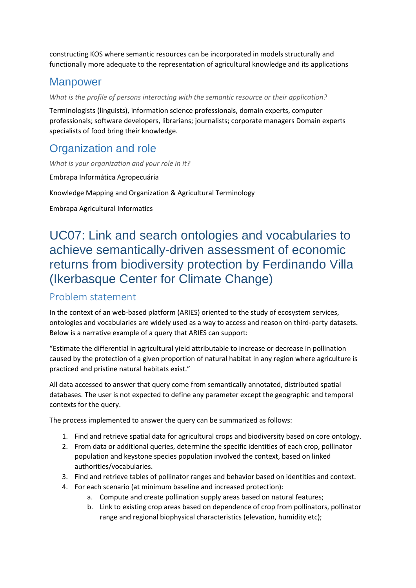constructing KOS where semantic resources can be incorporated in models structurally and functionally more adequate to the representation of agricultural knowledge and its applications

# **Manpower**

*What is the profile of persons interacting with the semantic resource or their application?*

Terminologists (linguists), information science professionals, domain experts, computer professionals; software developers, librarians; journalists; corporate managers Domain experts specialists of food bring their knowledge.

# Organization and role

*What is your organization and your role in it?*

Embrapa Informática Agropecuária

Knowledge Mapping and Organization & Agricultural Terminology

Embrapa Agricultural Informatics

# <span id="page-14-0"></span>UC07: Link and search ontologies and vocabularies to achieve semantically-driven assessment of economic returns from biodiversity protection by Ferdinando Villa (Ikerbasque Center for Climate Change)

# Problem statement

In the context of an web-based platform (ARIES) oriented to the study of ecosystem services, ontologies and vocabularies are widely used as a way to access and reason on third-party datasets. Below is a narrative example of a query that ARIES can support:

"Estimate the differential in agricultural yield attributable to increase or decrease in pollination caused by the protection of a given proportion of natural habitat in any region where agriculture is practiced and pristine natural habitats exist."

All data accessed to answer that query come from semantically annotated, distributed spatial databases. The user is not expected to define any parameter except the geographic and temporal contexts for the query.

The process implemented to answer the query can be summarized as follows:

- 1. Find and retrieve spatial data for agricultural crops and biodiversity based on core ontology.
- 2. From data or additional queries, determine the specific identities of each crop, pollinator population and keystone species population involved the context, based on linked authorities/vocabularies.
- 3. Find and retrieve tables of pollinator ranges and behavior based on identities and context.
- 4. For each scenario (at minimum baseline and increased protection):
	- a. Compute and create pollination supply areas based on natural features;
	- b. Link to existing crop areas based on dependence of crop from pollinators, pollinator range and regional biophysical characteristics (elevation, humidity etc);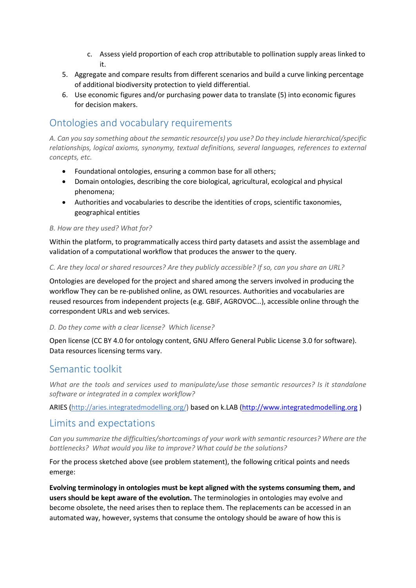- c. Assess yield proportion of each crop attributable to pollination supply areas linked to it.
- 5. Aggregate and compare results from different scenarios and build a curve linking percentage of additional biodiversity protection to yield differential.
- 6. Use economic figures and/or purchasing power data to translate (5) into economic figures for decision makers.

# Ontologies and vocabulary requirements

*A. Can you say something about the semantic resource(s) you use? Do they include hierarchical/specific relationships, logical axioms, synonymy, textual definitions, several languages, references to external concepts, etc.* 

- Foundational ontologies, ensuring a common base for all others;
- Domain ontologies, describing the core biological, agricultural, ecological and physical phenomena;
- Authorities and vocabularies to describe the identities of crops, scientific taxonomies, geographical entities

#### *B. How are they used? What for?*

Within the platform, to programmatically access third party datasets and assist the assemblage and validation of a computational workflow that produces the answer to the query.

#### *C. Are they local or shared resources? Are they publicly accessible? If so, can you share an URL?*

Ontologies are developed for the project and shared among the servers involved in producing the workflow They can be re-published online, as OWL resources. Authorities and vocabularies are reused resources from independent projects (e.g. GBIF, AGROVOC…), accessible online through the correspondent URLs and web services.

#### *D. Do they come with a clear license? Which license?*

Open license (CC BY 4.0 for ontology content, GNU Affero General Public License 3.0 for software). Data resources licensing terms vary.

#### Semantic toolkit

*What are the tools and services used to manipulate/use those semantic resources? Is it standalone software or integrated in a complex workflow?*

ARIES ([http://aries.integratedmodelling.org/\)](http://aries.integratedmodelling.org/) based on k.LAB [\(http://www.integratedmodelling.org](http://www.integratedmodelling.org/) )

#### Limits and expectations

*Can you summarize the difficulties/shortcomings of your work with semantic resources? Where are the bottlenecks? What would you like to improve? What could be the solutions?*

For the process sketched above (see problem statement), the following critical points and needs emerge:

**Evolving terminology in ontologies must be kept aligned with the systems consuming them, and users should be kept aware of the evolution.** The terminologies in ontologies may evolve and become obsolete, the need arises then to replace them. The replacements can be accessed in an automated way, however, systems that consume the ontology should be aware of how this is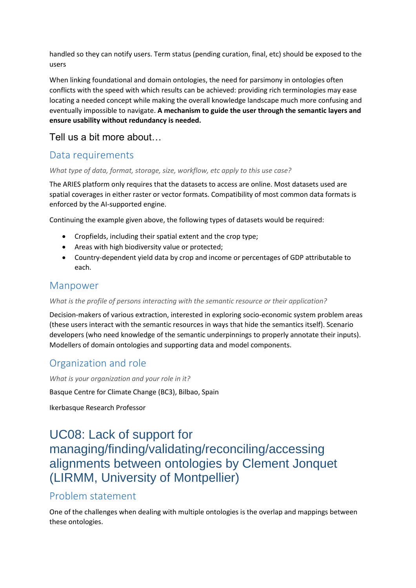handled so they can notify users. Term status (pending curation, final, etc) should be exposed to the users

When linking foundational and domain ontologies, the need for parsimony in ontologies often conflicts with the speed with which results can be achieved: providing rich terminologies may ease locating a needed concept while making the overall knowledge landscape much more confusing and eventually impossible to navigate. **A mechanism to guide the user through the semantic layers and ensure usability without redundancy is needed.**

# Tell us a bit more about…

# Data requirements

#### *What type of data, format, storage, size, workflow, etc apply to this use case?*

The ARIES platform only requires that the datasets to access are online. Most datasets used are spatial coverages in either raster or vector formats. Compatibility of most common data formats is enforced by the AI-supported engine.

Continuing the example given above, the following types of datasets would be required:

- Cropfields, including their spatial extent and the crop type;
- Areas with high biodiversity value or protected;
- Country-dependent yield data by crop and income or percentages of GDP attributable to each.

## Manpower

#### *What is the profile of persons interacting with the semantic resource or their application?*

Decision-makers of various extraction, interested in exploring socio-economic system problem areas (these users interact with the semantic resources in ways that hide the semantics itself). Scenario developers (who need knowledge of the semantic underpinnings to properly annotate their inputs). Modellers of domain ontologies and supporting data and model components.

# Organization and role

*What is your organization and your role in it?*

Basque Centre for Climate Change (BC3), Bilbao, Spain

Ikerbasque Research Professor

# <span id="page-16-0"></span>UC08: Lack of support for managing/finding/validating/reconciling/accessing alignments between ontologies by Clement Jonquet (LIRMM, University of Montpellier)

# Problem statement

One of the challenges when dealing with multiple ontologies is the overlap and mappings between these ontologies.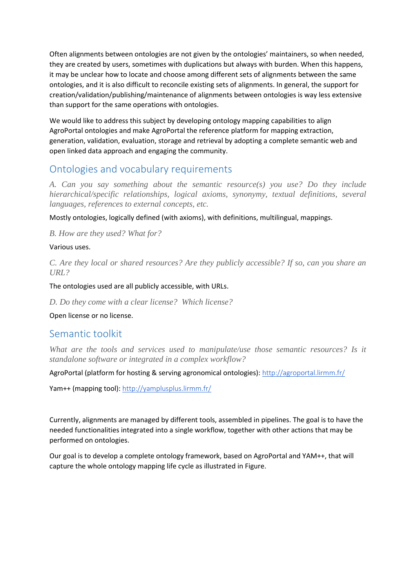Often alignments between ontologies are not given by the ontologies' maintainers, so when needed, they are created by users, sometimes with duplications but always with burden. When this happens, it may be unclear how to locate and choose among different sets of alignments between the same ontologies, and it is also difficult to reconcile existing sets of alignments. In general, the support for creation/validation/publishing/maintenance of alignments between ontologies is way less extensive than support for the same operations with ontologies.

We would like to address this subject by developing ontology mapping capabilities to align AgroPortal ontologies and make AgroPortal the reference platform for mapping extraction, generation, validation, evaluation, storage and retrieval by adopting a complete semantic web and open linked data approach and engaging the community.

# Ontologies and vocabulary requirements

*A. Can you say something about the semantic resource(s) you use? Do they include hierarchical/specific relationships, logical axioms, synonymy, textual definitions, several languages, references to external concepts, etc.* 

Mostly ontologies, logically defined (with axioms), with definitions, multilingual, mappings.

*B. How are they used? What for?* 

#### Various uses.

*C. Are they local or shared resources? Are they publicly accessible? If so, can you share an URL?* 

The ontologies used are all publicly accessible, with URLs.

*D. Do they come with a clear license? Which license?*

Open license or no license.

## Semantic toolkit

What are the tools and services used to manipulate/use those semantic resources? Is it *standalone software or integrated in a complex workflow?*

AgroPortal (platform for hosting & serving agronomical ontologies): <http://agroportal.lirmm.fr/>

Yam++ (mapping tool): <http://yamplusplus.lirmm.fr/>

Currently, alignments are managed by different tools, assembled in pipelines. The goal is to have the needed functionalities integrated into a single workflow, together with other actions that may be performed on ontologies.

Our goal is to develop a complete ontology framework, based on AgroPortal and YAM++, that will capture the whole ontology mapping life cycle as illustrated in Figure.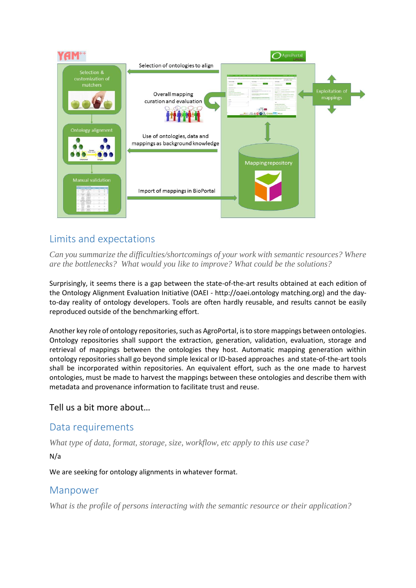

# Limits and expectations

*Can you summarize the difficulties/shortcomings of your work with semantic resources? Where are the bottlenecks? What would you like to improve? What could be the solutions?*

Surprisingly, it seems there is a gap between the state-of-the-art results obtained at each edition of the Ontology Alignment Evaluation Initiative (OAEI - http://oaei.ontology matching.org) and the dayto-day reality of ontology developers. Tools are often hardly reusable, and results cannot be easily reproduced outside of the benchmarking effort.

Another key role of ontology repositories, such as AgroPortal, is to store mappings between ontologies. Ontology repositories shall support the extraction, generation, validation, evaluation, storage and retrieval of mappings between the ontologies they host. Automatic mapping generation within ontology repositories shall go beyond simple lexical or ID-based approaches and state-of-the-art tools shall be incorporated within repositories. An equivalent effort, such as the one made to harvest ontologies, must be made to harvest the mappings between these ontologies and describe them with metadata and provenance information to facilitate trust and reuse.

#### Tell us a bit more about…

## Data requirements

*What type of data, format, storage, size, workflow, etc apply to this use case?*

N/a

We are seeking for ontology alignments in whatever format.

## Manpower

*What is the profile of persons interacting with the semantic resource or their application?*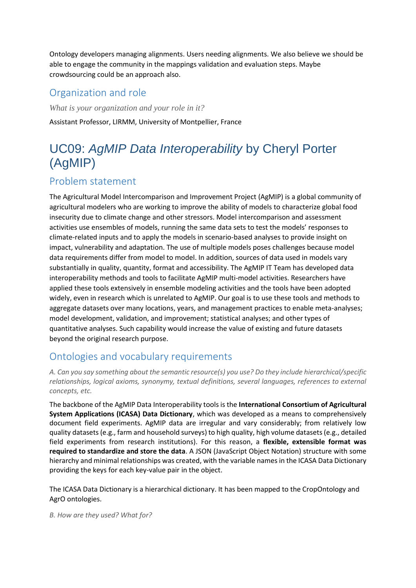Ontology developers managing alignments. Users needing alignments. We also believe we should be able to engage the community in the mappings validation and evaluation steps. Maybe crowdsourcing could be an approach also.

# Organization and role

*What is your organization and your role in it?* Assistant Professor, LIRMM, University of Montpellier, France

# <span id="page-19-0"></span>UC09: *AgMIP Data Interoperability* by Cheryl Porter (AgMIP)

# Problem statement

The Agricultural Model Intercomparison and Improvement Project (AgMIP) is a global community of agricultural modelers who are working to improve the ability of models to characterize global food insecurity due to climate change and other stressors. Model intercomparison and assessment activities use ensembles of models, running the same data sets to test the models' responses to climate-related inputs and to apply the models in scenario-based analyses to provide insight on impact, vulnerability and adaptation. The use of multiple models poses challenges because model data requirements differ from model to model. In addition, sources of data used in models vary substantially in quality, quantity, format and accessibility. The AgMIP IT Team has developed data interoperability methods and tools to facilitate AgMIP multi-model activities. Researchers have applied these tools extensively in ensemble modeling activities and the tools have been adopted widely, even in research which is unrelated to AgMIP. Our goal is to use these tools and methods to aggregate datasets over many locations, years, and management practices to enable meta-analyses; model development, validation, and improvement; statistical analyses; and other types of quantitative analyses. Such capability would increase the value of existing and future datasets beyond the original research purpose.

# Ontologies and vocabulary requirements

*A. Can you say something about the semantic resource(s) you use? Do they include hierarchical/specific relationships, logical axioms, synonymy, textual definitions, several languages, references to external concepts, etc.*

The backbone of the AgMIP Data Interoperability tools is the **International Consortium of Agricultural System Applications (ICASA) Data Dictionary**, which was developed as a means to comprehensively document field experiments. AgMIP data are irregular and vary considerably; from relatively low quality datasets (e.g., farm and household surveys) to high quality, high volume datasets (e.g., detailed field experiments from research institutions). For this reason, a **flexible, extensible format was required to standardize and store the data**. A JSON (JavaScript Object Notation) structure with some hierarchy and minimal relationships was created, with the variable names in the ICASA Data Dictionary providing the keys for each key-value pair in the object.

The ICASA Data Dictionary is a hierarchical dictionary. It has been mapped to the CropOntology and AgrO ontologies.

*B. How are they used? What for?*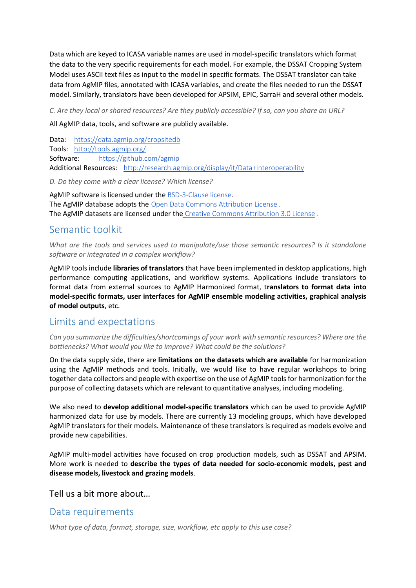Data which are keyed to ICASA variable names are used in model-specific translators which format the data to the very specific requirements for each model. For example, the DSSAT Cropping System Model uses ASCII text files as input to the model in specific formats. The DSSAT translator can take data from AgMIP files, annotated with ICASA variables, and create the files needed to run the DSSAT model. Similarly, translators have been developed for APSIM, EPIC, SarraH and several other models.

*C. Are they local or shared resources? Are they publicly accessible? If so, can you share an URL?*

All AgMIP data, tools, and software are publicly available.

Data: <https://data.agmip.org/cropsitedb> Tools: <http://tools.agmip.org/> Software: <https://github.com/agmip> Additional Resources: <http://research.agmip.org/display/it/Data+Interoperability>

*D. Do they come with a clear license? Which license?*

AgMIP software is licensed under the [BSD-3-Clause license.](https://opensource.org/licenses/BSD-3-Clause) The AgMIP database adopts the [Open Data Commons Attribution License](http://opendatacommons.org/licenses/by/) . The AgMIP datasets are licensed under the [Creative Commons Attribution 3.0 License](http://creativecommons.org/licenses/by/3.0/) .

### Semantic toolkit

*What are the tools and services used to manipulate/use those semantic resources? Is it standalone software or integrated in a complex workflow?*

AgMIP tools include **libraries of translators** that have been implemented in desktop applications, high performance computing applications, and workflow systems. Applications include translators to format data from external sources to AgMIP Harmonized format, t**ranslators to format data into model-specific formats, user interfaces for AgMIP ensemble modeling activities, graphical analysis of model outputs**, etc.

# Limits and expectations

*Can you summarize the difficulties/shortcomings of your work with semantic resources? Where are the bottlenecks? What would you like to improve? What could be the solutions?*

On the data supply side, there are **limitations on the datasets which are available** for harmonization using the AgMIP methods and tools. Initially, we would like to have regular workshops to bring together data collectors and people with expertise on the use of AgMIP tools for harmonization for the purpose of collecting datasets which are relevant to quantitative analyses, including modeling.

We also need to **develop additional model-specific translators** which can be used to provide AgMIP harmonized data for use by models. There are currently 13 modeling groups, which have developed AgMIP translators for their models. Maintenance of these translators is required as models evolve and provide new capabilities.

AgMIP multi-model activities have focused on crop production models, such as DSSAT and APSIM. More work is needed to **describe the types of data needed for socio-economic models, pest and disease models, livestock and grazing models**.

Tell us a bit more about…

## Data requirements

*What type of data, format, storage, size, workflow, etc apply to this use case?*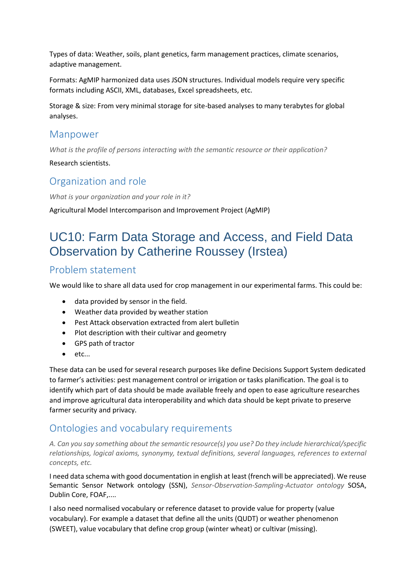Types of data: Weather, soils, plant genetics, farm management practices, climate scenarios, adaptive management.

Formats: AgMIP harmonized data uses JSON structures. Individual models require very specific formats including ASCII, XML, databases, Excel spreadsheets, etc.

Storage & size: From very minimal storage for site-based analyses to many terabytes for global analyses.

#### Manpower

*What is the profile of persons interacting with the semantic resource or their application?*

Research scientists.

### Organization and role

*What is your organization and your role in it?*

Agricultural Model Intercomparison and Improvement Project (AgMIP)

# <span id="page-21-0"></span>UC10: Farm Data Storage and Access, and Field Data Observation by Catherine Roussey (Irstea)

### Problem statement

We would like to share all data used for crop management in our experimental farms. This could be:

- data provided by sensor in the field.
- Weather data provided by weather station
- Pest Attack observation extracted from alert bulletin
- Plot description with their cultivar and geometry
- GPS path of tractor
- $\bullet$  etc...

These data can be used for several research purposes like define Decisions Support System dedicated to farmer's activities: pest management control or irrigation or tasks planification. The goal is to identify which part of data should be made available freely and open to ease agriculture researches and improve agricultural data interoperability and which data should be kept private to preserve farmer security and privacy.

## Ontologies and vocabulary requirements

*A. Can you say something about the semantic resource(s) you use? Do they include hierarchical/specific relationships, logical axioms, synonymy, textual definitions, several languages, references to external concepts, etc.* 

I need data schema with good documentation in english at least (french will be appreciated). We reuse Semantic Sensor Network ontology (SSN), *Sensor-Observation-Sampling-Actuator ontology* SOSA, Dublin Core, FOAF,....

I also need normalised vocabulary or reference dataset to provide value for property (value vocabulary). For example a dataset that define all the units (QUDT) or weather phenomenon (SWEET), value vocabulary that define crop group (winter wheat) or cultivar (missing).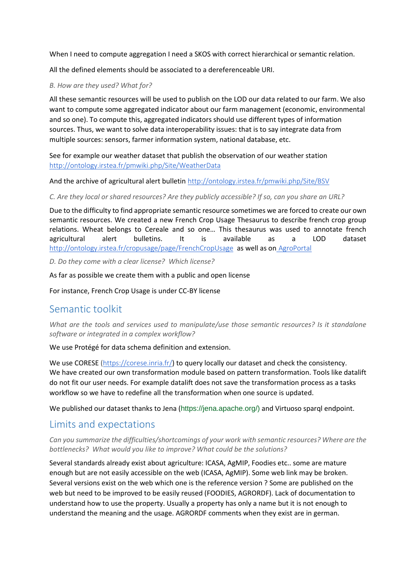When I need to compute aggregation I need a SKOS with correct hierarchical or semantic relation.

All the defined elements should be associated to a dereferenceable URI.

#### *B. How are they used? What for?*

All these semantic resources will be used to publish on the LOD our data related to our farm. We also want to compute some aggregated indicator about our farm management (economic, environmental and so one). To compute this, aggregated indicators should use different types of information sources. Thus, we want to solve data interoperability issues: that is to say integrate data from multiple sources: sensors, farmer information system, national database, etc.

See for example our weather dataset that publish the observation of our weather station <http://ontology.irstea.fr/pmwiki.php/Site/WeatherData>

And the archive of agricultural alert bulletin <http://ontology.irstea.fr/pmwiki.php/Site/BSV>

*C. Are they local or shared resources? Are they publicly accessible? If so, can you share an URL?* 

Due to the difficulty to find appropriate semantic resource sometimes we are forced to create our own semantic resources. We created a new French Crop Usage Thesaurus to describe french crop group relations. Wheat belongs to Cereale and so one… This thesaurus was used to annotate french agricultural alert bulletins. It is available as a LOD dataset <http://ontology.irstea.fr/cropusage/page/FrenchCropUsage> as well as on [AgroPortal](http://agroportal.lirmm.fr/ontologies/CROPUSAGE-FR?p=classes)

*D. Do they come with a clear license? Which license?*

As far as possible we create them with a public and open license

For instance, French Crop Usage is under CC-BY license

# Semantic toolkit

*What are the tools and services used to manipulate/use those semantic resources? Is it standalone software or integrated in a complex workflow?*

We use Protégé for data schema definition and extension.

We use CORESE [\(https://corese.inria.fr/](https://corese.inria.fr/)) to query locally our dataset and check the consistency. We have created our own transformation module based on pattern transformation. Tools like datalift do not fit our user needs. For example datalift does not save the transformation process as a tasks workflow so we have to redefine all the transformation when one source is updated.

We published our dataset thanks to Jena (https://jena.apache.org/) and Virtuoso sparql endpoint.

# Limits and expectations

*Can you summarize the difficulties/shortcomings of your work with semantic resources? Where are the bottlenecks? What would you like to improve? What could be the solutions?*

Several standards already exist about agriculture: ICASA, AgMIP, Foodies etc.. some are mature enough but are not easily accessible on the web (ICASA, AgMIP). Some web link may be broken. Several versions exist on the web which one is the reference version ? Some are published on the web but need to be improved to be easily reused (FOODIES, AGRORDF). Lack of documentation to understand how to use the property. Usually a property has only a name but it is not enough to understand the meaning and the usage. AGRORDF comments when they exist are in german.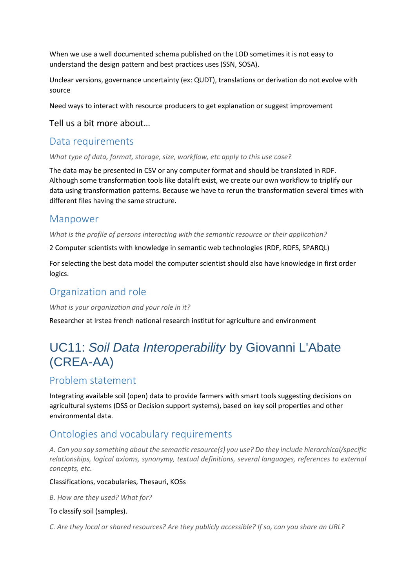When we use a well documented schema published on the LOD sometimes it is not easy to understand the design pattern and best practices uses (SSN, SOSA).

Unclear versions, governance uncertainty (ex: QUDT), translations or derivation do not evolve with source

Need ways to interact with resource producers to get explanation or suggest improvement

#### Tell us a bit more about…

#### Data requirements

*What type of data, format, storage, size, workflow, etc apply to this use case?*

The data may be presented in CSV or any computer format and should be translated in RDF. Although some transformation tools like datalift exist, we create our own workflow to triplify our data using transformation patterns. Because we have to rerun the transformation several times with different files having the same structure.

### Manpower

*What is the profile of persons interacting with the semantic resource or their application?*

2 Computer scientists with knowledge in semantic web technologies (RDF, RDFS, SPARQL)

For selecting the best data model the computer scientist should also have knowledge in first order logics.

## Organization and role

*What is your organization and your role in it?*

Researcher at Irstea french national research institut for agriculture and environment

# <span id="page-23-0"></span>UC11: *Soil Data Interoperability* by Giovanni L'Abate (CREA-AA)

## Problem statement

Integrating available soil (open) data to provide farmers with smart tools suggesting decisions on agricultural systems (DSS or Decision support systems), based on key soil properties and other environmental data.

# Ontologies and vocabulary requirements

*A. Can you say something about the semantic resource(s) you use? Do they include hierarchical/specific relationships, logical axioms, synonymy, textual definitions, several languages, references to external concepts, etc.* 

#### Classifications, vocabularies, Thesauri, KOSs

*B. How are they used? What for?* 

#### To classify soil (samples).

*C. Are they local or shared resources? Are they publicly accessible? If so, can you share an URL?*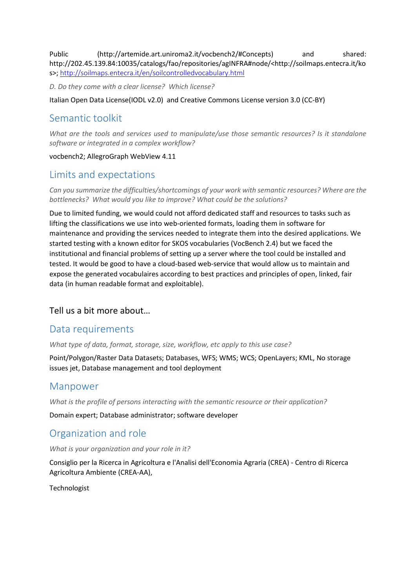Public (http://artemide.art.uniroma2.it/vocbench2/#Concepts) and shared: http://202.45.139.84:10035/catalogs/fao/repositories/agINFRA#node/<http://soilmaps.entecra.it/ko s>; <http://soilmaps.entecra.it/en/soilcontrolledvocabulary.html>

*D. Do they come with a clear license? Which license?*

Italian Open Data License(IODL v2.0) and Creative Commons License version 3.0 (CC-BY)

# Semantic toolkit

*What are the tools and services used to manipulate/use those semantic resources? Is it standalone software or integrated in a complex workflow?*

#### vocbench2; AllegroGraph WebView 4.11

# Limits and expectations

*Can you summarize the difficulties/shortcomings of your work with semantic resources? Where are the bottlenecks? What would you like to improve? What could be the solutions?*

Due to limited funding, we would could not afford dedicated staff and resources to tasks such as lifting the classifications we use into web-oriented formats, loading them in software for maintenance and providing the services needed to integrate them into the desired applications. We started testing with a known editor for SKOS vocabularies (VocBench 2.4) but we faced the institutional and financial problems of setting up a server where the tool could be installed and tested. It would be good to have a cloud-based web-service that would allow us to maintain and expose the generated vocabulaires according to best practices and principles of open, linked, fair data (in human readable format and exploitable).

#### Tell us a bit more about…

#### Data requirements

*What type of data, format, storage, size, workflow, etc apply to this use case?*

Point/Polygon/Raster Data Datasets; Databases, WFS; WMS; WCS; OpenLayers; KML, No storage issues jet, Database management and tool deployment

## Manpower

*What is the profile of persons interacting with the semantic resource or their application?*

Domain expert; Database administrator; software developer

# Organization and role

*What is your organization and your role in it?*

Consiglio per la Ricerca in Agricoltura e l'Analisi dell'Economia Agraria (CREA) - Centro di Ricerca Agricoltura Ambiente (CREA-AA),

Technologist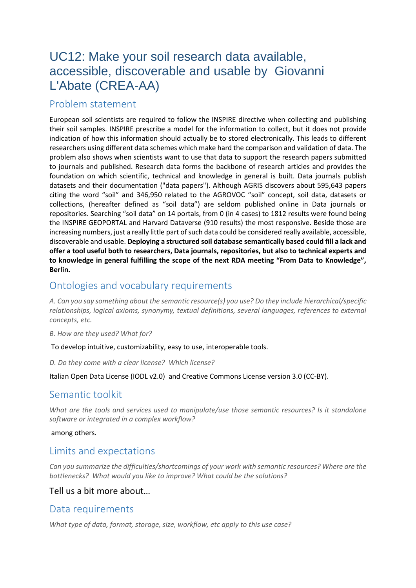# <span id="page-25-0"></span>UC12: Make your soil research data available, accessible, discoverable and usable by Giovanni L'Abate (CREA-AA)

# Problem statement

European soil scientists are required to follow the INSPIRE directive when collecting and publishing their soil samples. INSPIRE prescribe a model for the information to collect, but it does not provide indication of how this information should actually be to stored electronically. This leads to different researchers using different data schemes which make hard the comparison and validation of data. The problem also shows when scientists want to use that data to support the research papers submitted to journals and published. Research data forms the backbone of research articles and provides the foundation on which scientific, technical and knowledge in general is built. Data journals publish datasets and their documentation ("data papers"). Although AGRIS discovers about 595,643 papers citing the word "soil" and 346,950 related to the AGROVOC "soil" concept, soil data, datasets or collections, (hereafter defined as "soil data") are seldom published online in Data journals or repositories. Searching "soil data" on 14 portals, from 0 (in 4 cases) to 1812 results were found being the INSPIRE GEOPORTAL and Harvard Dataverse (910 results) the most responsive. Beside those are increasing numbers, just a really little part of such data could be considered really available, accessible, discoverable and usable. **Deploying a structured soil database semantically based could fill a lack and offer a tool useful both to researchers, Data journals, repositories, but also to technical experts and to knowledge in general fulfilling the scope of the next RDA meeting "From Data to Knowledge", Berlin.**

# Ontologies and vocabulary requirements

*A. Can you say something about the semantic resource(s) you use? Do they include hierarchical/specific relationships, logical axioms, synonymy, textual definitions, several languages, references to external concepts, etc.* 

*B. How are they used? What for?* 

To develop intuitive, customizability, easy to use, interoperable tools.

*D. Do they come with a clear license? Which license?*

Italian Open Data License (IODL v2.0) and Creative Commons License version 3.0 (CC-BY).

#### Semantic toolkit

*What are the tools and services used to manipulate/use those semantic resources? Is it standalone software or integrated in a complex workflow?*

among others.

## Limits and expectations

*Can you summarize the difficulties/shortcomings of your work with semantic resources? Where are the bottlenecks? What would you like to improve? What could be the solutions?*

#### Tell us a bit more about…

## Data requirements

*What type of data, format, storage, size, workflow, etc apply to this use case?*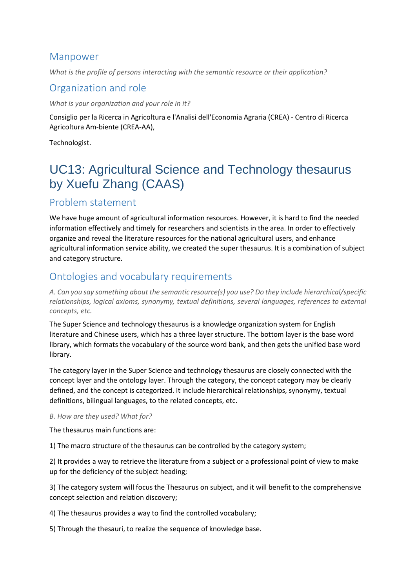## Manpower

*What is the profile of persons interacting with the semantic resource or their application?*

# Organization and role

*What is your organization and your role in it?*

Consiglio per la Ricerca in Agricoltura e l'Analisi dell'Economia Agraria (CREA) - Centro di Ricerca Agricoltura Am-biente (CREA-AA),

Technologist.

# <span id="page-26-0"></span>UC13: Agricultural Science and Technology thesaurus by Xuefu Zhang (CAAS)

# Problem statement

We have huge amount of agricultural information resources. However, it is hard to find the needed information effectively and timely for researchers and scientists in the area. In order to effectively organize and reveal the literature resources for the national agricultural users, and enhance agricultural information service ability, we created the super thesaurus. It is a combination of subject and category structure.

# Ontologies and vocabulary requirements

*A. Can you say something about the semantic resource(s) you use? Do they include hierarchical/specific relationships, logical axioms, synonymy, textual definitions, several languages, references to external concepts, etc.*

The Super Science and technology thesaurus is a knowledge organization system for English literature and Chinese users, which has a three layer structure. The bottom layer is the base word library, which formats the vocabulary of the source word bank, and then gets the unified base word library.

The category layer in the Super Science and technology thesaurus are closely connected with the concept layer and the ontology layer. Through the category, the concept category may be clearly defined, and the concept is categorized. It include hierarchical relationships, synonymy, textual definitions, bilingual languages, to the related concepts, etc.

#### *B. How are they used? What for?*

The thesaurus main functions are:

1) The macro structure of the thesaurus can be controlled by the category system;

2) It provides a way to retrieve the literature from a subject or a professional point of view to make up for the deficiency of the subject heading;

3) The category system will focus the Thesaurus on subject, and it will benefit to the comprehensive concept selection and relation discovery;

4) The thesaurus provides a way to find the controlled vocabulary;

5) Through the thesauri, to realize the sequence of knowledge base.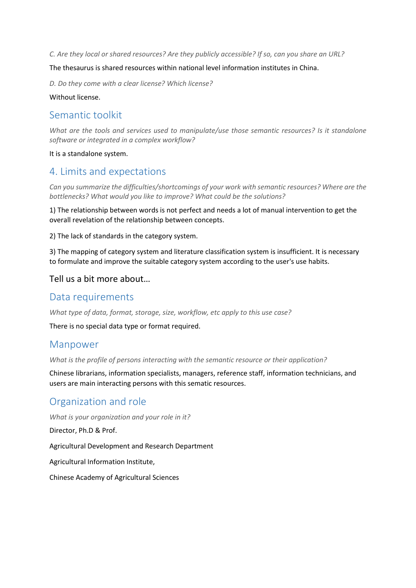*C. Are they local or shared resources? Are they publicly accessible? If so, can you share an URL?*

#### The thesaurus is shared resources within national level information institutes in China.

*D. Do they come with a clear license? Which license?*

Without license.

### Semantic toolkit

*What are the tools and services used to manipulate/use those semantic resources? Is it standalone software or integrated in a complex workflow?*

#### It is a standalone system.

## 4. Limits and expectations

*Can you summarize the difficulties/shortcomings of your work with semantic resources? Where are the bottlenecks? What would you like to improve? What could be the solutions?*

1) The relationship between words is not perfect and needs a lot of manual intervention to get the overall revelation of the relationship between concepts.

2) The lack of standards in the category system.

3) The mapping of category system and literature classification system is insufficient. It is necessary to formulate and improve the suitable category system according to the user's use habits.

#### Tell us a bit more about…

#### Data requirements

*What type of data, format, storage, size, workflow, etc apply to this use case?*

There is no special data type or format required.

#### Manpower

*What is the profile of persons interacting with the semantic resource or their application?*

Chinese librarians, information specialists, managers, reference staff, information technicians, and users are main interacting persons with this sematic resources.

## Organization and role

*What is your organization and your role in it?*

Director, Ph.D & Prof.

Agricultural Development and Research Department

Agricultural Information Institute,

Chinese Academy of Agricultural Sciences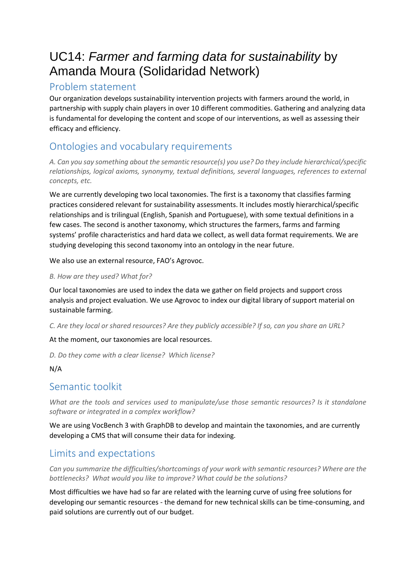# <span id="page-28-0"></span>UC14: *Farmer and farming data for sustainability* by Amanda Moura (Solidaridad Network)

## Problem statement

Our organization develops sustainability intervention projects with farmers around the world, in partnership with supply chain players in over 10 different commodities. Gathering and analyzing data is fundamental for developing the content and scope of our interventions, as well as assessing their efficacy and efficiency.

# Ontologies and vocabulary requirements

*A. Can you say something about the semantic resource(s) you use? Do they include hierarchical/specific relationships, logical axioms, synonymy, textual definitions, several languages, references to external concepts, etc.* 

We are currently developing two local taxonomies. The first is a taxonomy that classifies farming practices considered relevant for sustainability assessments. It includes mostly hierarchical/specific relationships and is trilingual (English, Spanish and Portuguese), with some textual definitions in a few cases. The second is another taxonomy, which structures the farmers, farms and farming systems' profile characteristics and hard data we collect, as well data format requirements. We are studying developing this second taxonomy into an ontology in the near future.

We also use an external resource, FAO's Agrovoc.

#### *B. How are they used? What for?*

Our local taxonomies are used to index the data we gather on field projects and support cross analysis and project evaluation. We use Agrovoc to index our digital library of support material on sustainable farming.

*C. Are they local or shared resources? Are they publicly accessible? If so, can you share an URL?* 

At the moment, our taxonomies are local resources.

*D. Do they come with a clear license? Which license?*

#### N/A

# Semantic toolkit

*What are the tools and services used to manipulate/use those semantic resources? Is it standalone software or integrated in a complex workflow?*

We are using VocBench 3 with GraphDB to develop and maintain the taxonomies, and are currently developing a CMS that will consume their data for indexing.

# Limits and expectations

*Can you summarize the difficulties/shortcomings of your work with semantic resources? Where are the bottlenecks? What would you like to improve? What could be the solutions?*

Most difficulties we have had so far are related with the learning curve of using free solutions for developing our semantic resources - the demand for new technical skills can be time-consuming, and paid solutions are currently out of our budget.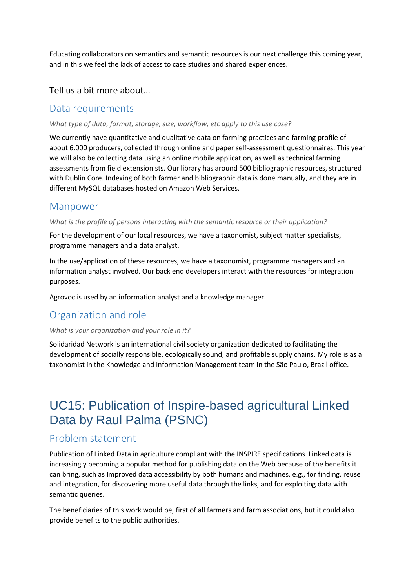Educating collaborators on semantics and semantic resources is our next challenge this coming year, and in this we feel the lack of access to case studies and shared experiences.

#### Tell us a bit more about…

#### Data requirements

#### *What type of data, format, storage, size, workflow, etc apply to this use case?*

We currently have quantitative and qualitative data on farming practices and farming profile of about 6.000 producers, collected through online and paper self-assessment questionnaires. This year we will also be collecting data using an online mobile application, as well as technical farming assessments from field extensionists. Our library has around 500 bibliographic resources, structured with Dublin Core. Indexing of both farmer and bibliographic data is done manually, and they are in different MySQL databases hosted on Amazon Web Services.

#### Manpower

#### *What is the profile of persons interacting with the semantic resource or their application?*

For the development of our local resources, we have a taxonomist, subject matter specialists, programme managers and a data analyst.

In the use/application of these resources, we have a taxonomist, programme managers and an information analyst involved. Our back end developers interact with the resources for integration purposes.

Agrovoc is used by an information analyst and a knowledge manager.

# Organization and role

#### *What is your organization and your role in it?*

Solidaridad Network is an international civil society organization dedicated to facilitating the development of socially responsible, ecologically sound, and profitable supply chains. My role is as a taxonomist in the Knowledge and Information Management team in the São Paulo, Brazil office.

# <span id="page-29-0"></span>UC15: Publication of Inspire-based agricultural Linked Data by Raul Palma (PSNC)

## Problem statement

Publication of Linked Data in agriculture compliant with the INSPIRE specifications. Linked data is increasingly becoming a popular method for publishing data on the Web because of the benefits it can bring, such as Improved data accessibility by both humans and machines, e.g., for finding, reuse and integration, for discovering more useful data through the links, and for exploiting data with semantic queries.

The beneficiaries of this work would be, first of all farmers and farm associations, but it could also provide benefits to the public authorities.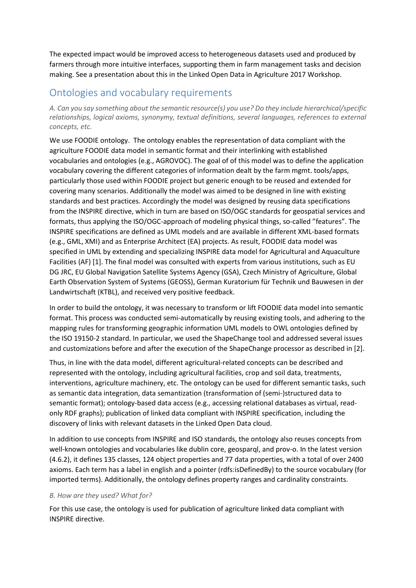The expected impact would be improved access to heterogeneous datasets used and produced by farmers through more intuitive interfaces, supporting them in farm management tasks and decision making. See a presentation about this in the Linked Open Data in Agriculture 2017 Workshop.

# Ontologies and vocabulary requirements

*A. Can you say something about the semantic resource(s) you use? Do they include hierarchical/specific relationships, logical axioms, synonymy, textual definitions, several languages, references to external concepts, etc.* 

We use FOODIE ontology. The ontology enables the representation of data compliant with the agriculture FOODIE data model in semantic format and their interlinking with established vocabularies and ontologies (e.g., AGROVOC). The goal of of this model was to define the application vocabulary covering the different categories of information dealt by the farm mgmt. tools/apps, particularly those used within FOODIE project but generic enough to be reused and extended for covering many scenarios. Additionally the model was aimed to be designed in line with existing standards and best practices. Accordingly the model was designed by reusing data specifications from the INSPIRE directive, which in turn are based on ISO/OGC standards for geospatial services and formats, thus applying the ISO/OGC-approach of modeling physical things, so-called "features". The INSPIRE specifications are defined as UML models and are available in different XML-based formats (e.g., GML, XMI) and as Enterprise Architect (EA) projects. As result, FOODIE data model was specified in UML by extending and specializing INSPIRE data model for Agricultural and Aquaculture Facilities (AF) [1]. The final model was consulted with experts from various institutions, such as EU DG JRC, EU Global Navigation Satellite Systems Agency (GSA), Czech Ministry of Agriculture, Global Earth Observation System of Systems (GEOSS), German Kuratorium für Technik und Bauwesen in der Landwirtschaft (KTBL), and received very positive feedback.

In order to build the ontology, it was necessary to transform or lift FOODIE data model into semantic format. This process was conducted semi-automatically by reusing existing tools, and adhering to the mapping rules for transforming geographic information UML models to OWL ontologies defined by the ISO 19150-2 standard. In particular, we used the ShapeChange tool and addressed several issues and customizations before and after the execution of the ShapeChange processor as described in [2].

Thus, in line with the data model, different agricultural-related concepts can be described and represented with the ontology, including agricultural facilities, crop and soil data, treatments, interventions, agriculture machinery, etc. The ontology can be used for different semantic tasks, such as semantic data integration, data semantization (transformation of (semi-)structured data to semantic format); ontology-based data access (e.g., accessing relational databases as virtual, readonly RDF graphs); publication of linked data compliant with INSPIRE specification, including the discovery of links with relevant datasets in the Linked Open Data cloud.

In addition to use concepts from INSPIRE and ISO standards, the ontology also reuses concepts from well-known ontologies and vocabularies like dublin core, geosparql, and prov-o. In the latest version (4.6.2), it defines 135 classes, 124 object properties and 77 data properties, with a total of over 2400 axioms. Each term has a label in english and a pointer (rdfs:isDefinedBy) to the source vocabulary (for imported terms). Additionally, the ontology defines property ranges and cardinality constraints.

#### *B. How are they used? What for?*

For this use case, the ontology is used for publication of agriculture linked data compliant with INSPIRE directive.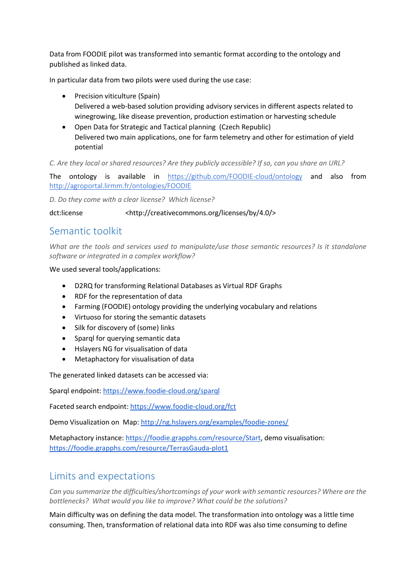Data from FOODIE pilot was transformed into semantic format according to the ontology and published as linked data.

In particular data from two pilots were used during the use case:

- Precision viticulture (Spain) Delivered a web-based solution providing advisory services in different aspects related to winegrowing, like disease prevention, production estimation or harvesting schedule
- Open Data for Strategic and Tactical planning (Czech Republic) Delivered two main applications, one for farm telemetry and other for estimation of yield potential

*C. Are they local or shared resources? Are they publicly accessible? If so, can you share an URL?* 

The ontology is available in <https://github.com/FOODIE-cloud/ontology> and also from <http://agroportal.lirmm.fr/ontologies/FOODIE>

*D. Do they come with a clear license? Which license?*

dct:license <http://creativecommons.org/licenses/by/4.0/>

### Semantic toolkit

*What are the tools and services used to manipulate/use those semantic resources? Is it standalone software or integrated in a complex workflow?*

We used several tools/applications:

- D2RQ for transforming Relational Databases as Virtual RDF Graphs
- RDF for the representation of data
- Farming (FOODIE) ontology providing the underlying vocabulary and relations
- Virtuoso for storing the semantic datasets
- Silk for discovery of (some) links
- Sparql for querying semantic data
- Hslayers NG for visualisation of data
- Metaphactory for visualisation of data

The generated linked datasets can be accessed via:

Sparql endpoint[: https://www.foodie-cloud.org/sparql](https://www.foodie-cloud.org/sparql)

Faceted search endpoint[: https://www.foodie-cloud.org/fct](https://www.foodie-cloud.org/fct)

Demo Visualization on Map[: http://ng.hslayers.org/examples/foodie-zones/](http://ng.hslayers.org/examples/foodie-zones/)

Metaphactory instance: [https://foodie.grapphs.com/resource/Start,](https://foodie.grapphs.com/resource/Start) demo visualisation: <https://foodie.grapphs.com/resource/TerrasGauda-plot1>

# Limits and expectations

*Can you summarize the difficulties/shortcomings of your work with semantic resources? Where are the bottlenecks? What would you like to improve? What could be the solutions?*

Main difficulty was on defining the data model. The transformation into ontology was a little time consuming. Then, transformation of relational data into RDF was also time consuming to define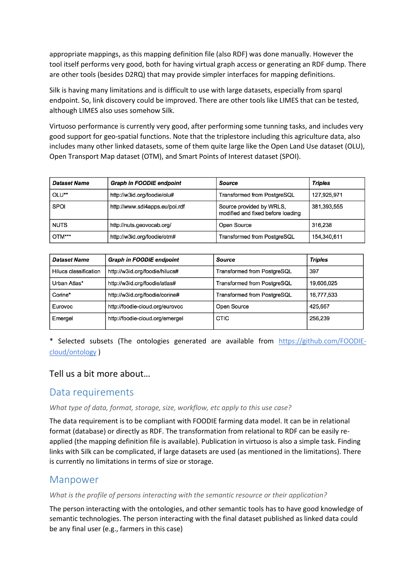appropriate mappings, as this mapping definition file (also RDF) was done manually. However the tool itself performs very good, both for having virtual graph access or generating an RDF dump. There are other tools (besides D2RQ) that may provide simpler interfaces for mapping definitions.

Silk is having many limitations and is difficult to use with large datasets, especially from sparql endpoint. So, link discovery could be improved. There are other tools like LIMES that can be tested, although LIMES also uses somehow Silk.

Virtuoso performance is currently very good, after performing some tunning tasks, and includes very good support for geo-spatial functions. Note that the triplestore including this agriculture data, also includes many other linked datasets, some of them quite large like the Open Land Use dataset (OLU), Open Transport Map dataset (OTM), and Smart Points of Interest dataset (SPOI).

| <b>Dataset Name</b> | Graph in FOODIE endpoint       | Source                                                        | <b>Triples</b> |
|---------------------|--------------------------------|---------------------------------------------------------------|----------------|
| OLU**               | http://w3id.org/foodie/olu#    | Transformed from PostgreSQL                                   | 127,925,971    |
| <b>SPOI</b>         | http://www.sdi4apps.eu/poi.rdf | Source provided by WRLS,<br>modified and fixed before loading | 381,393,555    |
| <b>NUTS</b>         | http://nuts.geovocab.org/      | Open Source                                                   | 316.238        |
| OTM***              | http://w3id.org/foodie/otm#    | Transformed from PostgreSQL                                   | 154,340,611    |

| <b>Dataset Name</b>   | <b>Graph in FOODIE endpoint</b> | Source                      | <b>Triples</b> |
|-----------------------|---------------------------------|-----------------------------|----------------|
| Hilucs classification | http://w3id.org/foodie/hilucs#  | Transformed from PostgreSQL | 397            |
| Urban Atlas*          | http://w3id.org/foodie/atlas#   | Transformed from PostgreSQL | 19.606.025     |
| Corine*               | http://w3id.org/foodie/corine#  | Transformed from PostgreSQL | 16,777,533     |
| Eurovoc               | http://foodie-cloud.org/eurovoc | Open Source                 | 425.667        |
| Emergel               | http://foodie-cloud.org/emergel | CTIC                        | 256,239        |

\* Selected subsets (The ontologies generated are available from [https://github.com/FOODIE](https://github.com/FOODIE-cloud/ontology)[cloud/ontology](https://github.com/FOODIE-cloud/ontology) )

#### Tell us a bit more about…

## Data requirements

#### *What type of data, format, storage, size, workflow, etc apply to this use case?*

The data requirement is to be compliant with FOODIE farming data model. It can be in relational format (database) or directly as RDF. The transformation from relational to RDF can be easily reapplied (the mapping definition file is available). Publication in virtuoso is also a simple task. Finding links with Silk can be complicated, if large datasets are used (as mentioned in the limitations). There is currently no limitations in terms of size or storage.

## Manpower

*What is the profile of persons interacting with the semantic resource or their application?*

The person interacting with the ontologies, and other semantic tools has to have good knowledge of semantic technologies. The person interacting with the final dataset published as linked data could be any final user (e.g., farmers in this case)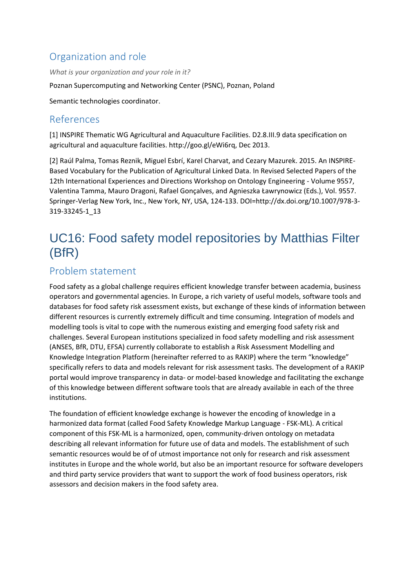# Organization and role

*What is your organization and your role in it?*

Poznan Supercomputing and Networking Center (PSNC), Poznan, Poland

Semantic technologies coordinator.

# References

[1] INSPIRE Thematic WG Agricultural and Aquaculture Facilities. D2.8.III.9 data specification on agricultural and aquaculture facilities. http://goo.gl/eWi6rq, Dec 2013.

[2] Raúl Palma, Tomas Reznik, Miguel Esbrí, Karel Charvat, and Cezary Mazurek. 2015. An INSPIRE-Based Vocabulary for the Publication of Agricultural Linked Data. In Revised Selected Papers of the 12th International Experiences and Directions Workshop on Ontology Engineering - Volume 9557, Valentina Tamma, Mauro Dragoni, Rafael Gonçalves, and Agnieszka Ławrynowicz (Eds.), Vol. 9557. Springer-Verlag New York, Inc., New York, NY, USA, 124-133. DOI=http://dx.doi.org/10.1007/978-3- 319-33245-1\_13

# <span id="page-33-0"></span>UC16: Food safety model repositories by Matthias Filter (BfR)

# Problem statement

Food safety as a global challenge requires efficient knowledge transfer between academia, business operators and governmental agencies. In Europe, a rich variety of useful models, software tools and databases for food safety risk assessment exists, but exchange of these kinds of information between different resources is currently extremely difficult and time consuming. Integration of models and modelling tools is vital to cope with the numerous existing and emerging food safety risk and challenges. Several European institutions specialized in food safety modelling and risk assessment (ANSES, BfR, DTU, EFSA) currently collaborate to establish a Risk Assessment Modelling and Knowledge Integration Platform (hereinafter referred to as RAKIP) where the term "knowledge" specifically refers to data and models relevant for risk assessment tasks. The development of a RAKIP portal would improve transparency in data- or model-based knowledge and facilitating the exchange of this knowledge between different software tools that are already available in each of the three institutions.

The foundation of efficient knowledge exchange is however the encoding of knowledge in a harmonized data format (called Food Safety Knowledge Markup Language - FSK-ML). A critical component of this FSK-ML is a harmonized, open, community-driven ontology on metadata describing all relevant information for future use of data and models. The establishment of such semantic resources would be of of utmost importance not only for research and risk assessment institutes in Europe and the whole world, but also be an important resource for software developers and third party service providers that want to support the work of food business operators, risk assessors and decision makers in the food safety area.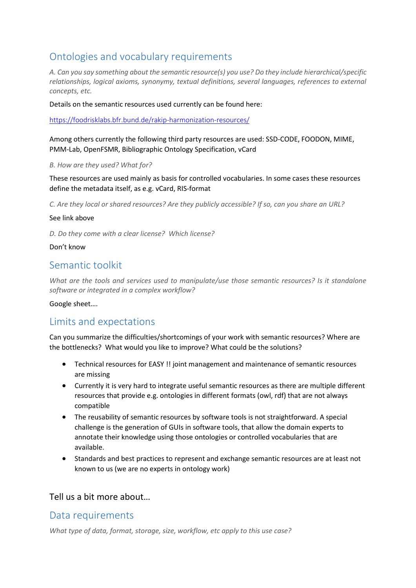# Ontologies and vocabulary requirements

*A. Can you say something about the semantic resource(s) you use? Do they include hierarchical/specific relationships, logical axioms, synonymy, textual definitions, several languages, references to external concepts, etc.* 

Details on the semantic resources used currently can be found here:

<https://foodrisklabs.bfr.bund.de/rakip-harmonization-resources/>

Among others currently the following third party resources are used: SSD-CODE, FOODON, MIME, PMM-Lab, OpenFSMR, Bibliographic Ontology Specification, vCard

*B. How are they used? What for?* 

These resources are used mainly as basis for controlled vocabularies. In some cases these resources define the metadata itself, as e.g. vCard, RIS-format

*C. Are they local or shared resources? Are they publicly accessible? If so, can you share an URL?* 

#### See link above

*D. Do they come with a clear license? Which license?*

#### Don't know

### Semantic toolkit

*What are the tools and services used to manipulate/use those semantic resources? Is it standalone software or integrated in a complex workflow?*

Google sheet….

# Limits and expectations

Can you summarize the difficulties/shortcomings of your work with semantic resources? Where are the bottlenecks? What would you like to improve? What could be the solutions?

- Technical resources for EASY !! joint management and maintenance of semantic resources are missing
- Currently it is very hard to integrate useful semantic resources as there are multiple different resources that provide e.g. ontologies in different formats (owl, rdf) that are not always compatible
- The reusability of semantic resources by software tools is not straightforward. A special challenge is the generation of GUIs in software tools, that allow the domain experts to annotate their knowledge using those ontologies or controlled vocabularies that are available.
- Standards and best practices to represent and exchange semantic resources are at least not known to us (we are no experts in ontology work)

#### Tell us a bit more about…

#### Data requirements

*What type of data, format, storage, size, workflow, etc apply to this use case?*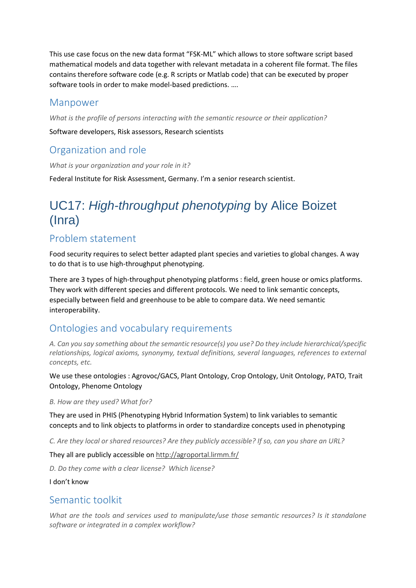This use case focus on the new data format "FSK-ML" which allows to store software script based mathematical models and data together with relevant metadata in a coherent file format. The files contains therefore software code (e.g. R scripts or Matlab code) that can be executed by proper software tools in order to make model-based predictions. ….

## Manpower

*What is the profile of persons interacting with the semantic resource or their application?*

Software developers, Risk assessors, Research scientists

# Organization and role

*What is your organization and your role in it?*

Federal Institute for Risk Assessment, Germany. I'm a senior research scientist.

# <span id="page-35-0"></span>UC17: *High-throughput phenotyping* by Alice Boizet (Inra)

# Problem statement

Food security requires to select better adapted plant species and varieties to global changes. A way to do that is to use high-throughput phenotyping.

There are 3 types of high-throughput phenotyping platforms : field, green house or omics platforms. They work with different species and different protocols. We need to link semantic concepts, especially between field and greenhouse to be able to compare data. We need semantic interoperability.

# Ontologies and vocabulary requirements

*A. Can you say something about the semantic resource(s) you use? Do they include hierarchical/specific relationships, logical axioms, synonymy, textual definitions, several languages, references to external concepts, etc.* 

We use these ontologies : Agrovoc/GACS, Plant Ontology, Crop Ontology, Unit Ontology, PATO, Trait Ontology, Phenome Ontology

*B. How are they used? What for?* 

They are used in PHIS (Phenotyping Hybrid Information System) to link variables to semantic concepts and to link objects to platforms in order to standardize concepts used in phenotyping

*C. Are they local or shared resources? Are they publicly accessible? If so, can you share an URL?* 

They all are publicly accessible on <http://agroportal.lirmm.fr/>

*D. Do they come with a clear license? Which license?*

I don't know

## Semantic toolkit

*What are the tools and services used to manipulate/use those semantic resources? Is it standalone software or integrated in a complex workflow?*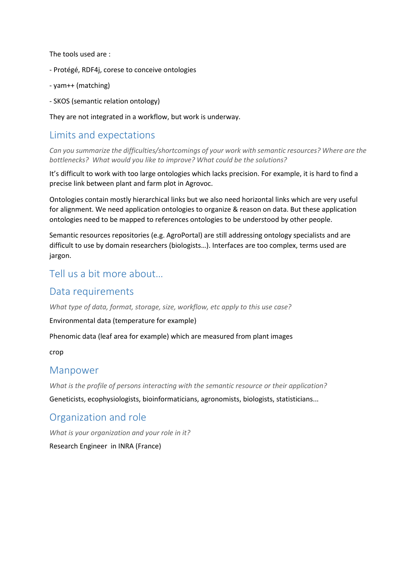The tools used are :

- Protégé, RDF4j, corese to conceive ontologies
- yam++ (matching)
- SKOS (semantic relation ontology)

They are not integrated in a workflow, but work is underway.

# Limits and expectations

*Can you summarize the difficulties/shortcomings of your work with semantic resources? Where are the bottlenecks? What would you like to improve? What could be the solutions?*

It's difficult to work with too large ontologies which lacks precision. For example, it is hard to find a precise link between plant and farm plot in Agrovoc.

Ontologies contain mostly hierarchical links but we also need horizontal links which are very useful for alignment. We need application ontologies to organize & reason on data. But these application ontologies need to be mapped to references ontologies to be understood by other people.

Semantic resources repositories (e.g. AgroPortal) are still addressing ontology specialists and are difficult to use by domain researchers (biologists…). Interfaces are too complex, terms used are jargon.

# Tell us a bit more about…

## Data requirements

*What type of data, format, storage, size, workflow, etc apply to this use case?*

Environmental data (temperature for example)

Phenomic data (leaf area for example) which are measured from plant images

crop

#### Manpower

*What is the profile of persons interacting with the semantic resource or their application?*

Geneticists, ecophysiologists, bioinformaticians, agronomists, biologists, statisticians...

# Organization and role

*What is your organization and your role in it?*

Research Engineer in INRA (France)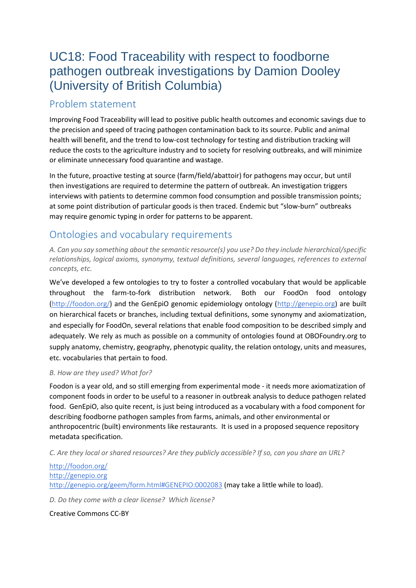# <span id="page-37-0"></span>UC18: Food Traceability with respect to foodborne pathogen outbreak investigations by Damion Dooley (University of British Columbia)

# Problem statement

Improving Food Traceability will lead to positive public health outcomes and economic savings due to the precision and speed of tracing pathogen contamination back to its source. Public and animal health will benefit, and the trend to low-cost technology for testing and distribution tracking will reduce the costs to the agriculture industry and to society for resolving outbreaks, and will minimize or eliminate unnecessary food quarantine and wastage.

In the future, proactive testing at source (farm/field/abattoir) for pathogens may occur, but until then investigations are required to determine the pattern of outbreak. An investigation triggers interviews with patients to determine common food consumption and possible transmission points; at some point distribution of particular goods is then traced. Endemic but "slow-burn" outbreaks may require genomic typing in order for patterns to be apparent.

# Ontologies and vocabulary requirements

*A. Can you say something about the semantic resource(s) you use? Do they include hierarchical/specific relationships, logical axioms, synonymy, textual definitions, several languages, references to external concepts, etc.* 

We've developed a few ontologies to try to foster a controlled vocabulary that would be applicable throughout the farm-to-fork distribution network. Both our FoodOn food ontology ([http://foodon.org/](http://foodontology.github.io/foodon/)) and the GenEpiO genomic epidemiology ontology ([http://genepio.org](http://genepio.org/)) are built on hierarchical facets or branches, including textual definitions, some synonymy and axiomatization, and especially for FoodOn, several relations that enable food composition to be described simply and adequately. We rely as much as possible on a community of ontologies found at OBOFoundry.org to supply anatomy, chemistry, geography, phenotypic quality, the relation ontology, units and measures, etc. vocabularies that pertain to food.

#### *B. How are they used? What for?*

Foodon is a year old, and so still emerging from experimental mode - it needs more axiomatization of component foods in order to be useful to a reasoner in outbreak analysis to deduce pathogen related food. GenEpiO, also quite recent, is just being introduced as a vocabulary with a food component for describing foodborne pathogen samples from farms, animals, and other environmental or anthropocentric (built) environments like restaurants. It is used in a proposed sequence repository metadata specification.

*C. Are they local or shared resources? Are they publicly accessible? If so, can you share an URL?* 

[http://foodon.org/](http://foodontology.github.io/foodon/) [http://genepio.org](http://genepio.org/) <http://genepio.org/geem/form.html#GENEPIO:0002083> (may take a little while to load).

*D. Do they come with a clear license? Which license?*

Creative Commons CC-BY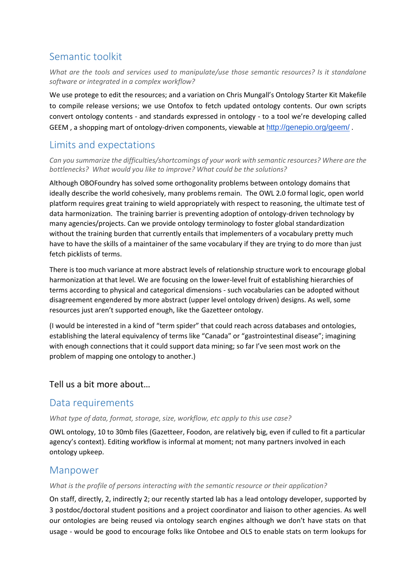# Semantic toolkit

*What are the tools and services used to manipulate/use those semantic resources? Is it standalone software or integrated in a complex workflow?*

We use protege to edit the resources; and a variation on Chris Mungall's Ontology Starter Kit Makefile to compile release versions; we use Ontofox to fetch updated ontology contents. Our own scripts convert ontology contents - and standards expressed in ontology - to a tool we're developing called GEEM , a shopping mart of ontology-driven components, viewable at <http://genepio.org/geem/> .

# Limits and expectations

*Can you summarize the difficulties/shortcomings of your work with semantic resources? Where are the bottlenecks? What would you like to improve? What could be the solutions?*

Although OBOFoundry has solved some orthogonality problems between ontology domains that ideally describe the world cohesively, many problems remain. The OWL 2.0 formal logic, open world platform requires great training to wield appropriately with respect to reasoning, the ultimate test of data harmonization. The training barrier is preventing adoption of ontology-driven technology by many agencies/projects. Can we provide ontology terminology to foster global standardization without the training burden that currently entails that implementers of a vocabulary pretty much have to have the skills of a maintainer of the same vocabulary if they are trying to do more than just fetch picklists of terms.

There is too much variance at more abstract levels of relationship structure work to encourage global harmonization at that level. We are focusing on the lower-level fruit of establishing hierarchies of terms according to physical and categorical dimensions - such vocabularies can be adopted without disagreement engendered by more abstract (upper level ontology driven) designs. As well, some resources just aren't supported enough, like the Gazetteer ontology.

(I would be interested in a kind of "term spider" that could reach across databases and ontologies, establishing the lateral equivalency of terms like "Canada" or "gastrointestinal disease"; imagining with enough connections that it could support data mining; so far I've seen most work on the problem of mapping one ontology to another.)

#### Tell us a bit more about…

# Data requirements

*What type of data, format, storage, size, workflow, etc apply to this use case?*

OWL ontology, 10 to 30mb files (Gazetteer, Foodon, are relatively big, even if culled to fit a particular agency's context). Editing workflow is informal at moment; not many partners involved in each ontology upkeep.

## Manpower

#### *What is the profile of persons interacting with the semantic resource or their application?*

On staff, directly, 2, indirectly 2; our recently started lab has a lead ontology developer, supported by 3 postdoc/doctoral student positions and a project coordinator and liaison to other agencies. As well our ontologies are being reused via ontology search engines although we don't have stats on that usage - would be good to encourage folks like Ontobee and OLS to enable stats on term lookups for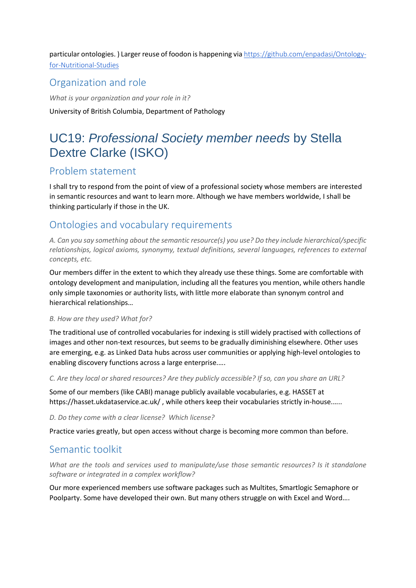particular ontologies. ) Larger reuse of foodon is happening via [https://github.com/enpadasi/Ontology](https://github.com/enpadasi/Ontology-for-Nutritional-Studies)[for-Nutritional-Studies](https://github.com/enpadasi/Ontology-for-Nutritional-Studies)

# Organization and role

*What is your organization and your role in it?* University of British Columbia, Department of Pathology

# <span id="page-39-0"></span>UC19: *Professional Society member needs* by Stella Dextre Clarke (ISKO)

# Problem statement

I shall try to respond from the point of view of a professional society whose members are interested in semantic resources and want to learn more. Although we have members worldwide, I shall be thinking particularly if those in the UK.

# Ontologies and vocabulary requirements

*A. Can you say something about the semantic resource(s) you use? Do they include hierarchical/specific relationships, logical axioms, synonymy, textual definitions, several languages, references to external concepts, etc.* 

Our members differ in the extent to which they already use these things. Some are comfortable with ontology development and manipulation, including all the features you mention, while others handle only simple taxonomies or authority lists, with little more elaborate than synonym control and hierarchical relationships…

#### *B. How are they used? What for?*

The traditional use of controlled vocabularies for indexing is still widely practised with collections of images and other non-text resources, but seems to be gradually diminishing elsewhere. Other uses are emerging, e.g. as Linked Data hubs across user communities or applying high-level ontologies to enabling discovery functions across a large enterprise.….

*C. Are they local or shared resources? Are they publicly accessible? If so, can you share an URL?* 

Some of our members (like CABI) manage publicly available vocabularies, e.g. HASSET at https://hasset.ukdataservice.ac.uk/ , while others keep their vocabularies strictly in-house.…..

#### *D. Do they come with a clear license? Which license?*

Practice varies greatly, but open access without charge is becoming more common than before.

## Semantic toolkit

*What are the tools and services used to manipulate/use those semantic resources? Is it standalone software or integrated in a complex workflow?*

Our more experienced members use software packages such as Multites, Smartlogic Semaphore or Poolparty. Some have developed their own. But many others struggle on with Excel and Word….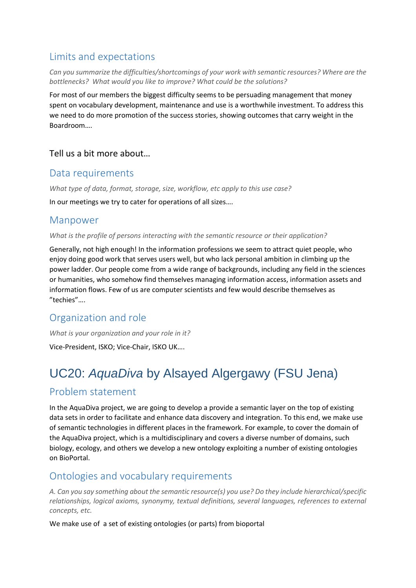# Limits and expectations

*Can you summarize the difficulties/shortcomings of your work with semantic resources? Where are the bottlenecks? What would you like to improve? What could be the solutions?*

For most of our members the biggest difficulty seems to be persuading management that money spent on vocabulary development, maintenance and use is a worthwhile investment. To address this we need to do more promotion of the success stories, showing outcomes that carry weight in the Boardroom….

### Tell us a bit more about…

# Data requirements

*What type of data, format, storage, size, workflow, etc apply to this use case?*

In our meetings we try to cater for operations of all sizes….

### Manpower

*What is the profile of persons interacting with the semantic resource or their application?*

Generally, not high enough! In the information professions we seem to attract quiet people, who enjoy doing good work that serves users well, but who lack personal ambition in climbing up the power ladder. Our people come from a wide range of backgrounds, including any field in the sciences or humanities, who somehow find themselves managing information access, information assets and information flows. Few of us are computer scientists and few would describe themselves as "techies"….

# Organization and role

*What is your organization and your role in it?*

Vice-President, ISKO; Vice-Chair, ISKO UK….

# <span id="page-40-0"></span>UC20: *AquaDiva* by Alsayed Algergawy (FSU Jena)

# Problem statement

In the AquaDiva project, we are going to develop a provide a semantic layer on the top of existing data sets in order to facilitate and enhance data discovery and integration. To this end, we make use of semantic technologies in different places in the framework. For example, to cover the domain of the AquaDiva project, which is a multidisciplinary and covers a diverse number of domains, such biology, ecology, and others we develop a new ontology exploiting a number of existing ontologies on BioPortal.

# Ontologies and vocabulary requirements

*A. Can you say something about the semantic resource(s) you use? Do they include hierarchical/specific relationships, logical axioms, synonymy, textual definitions, several languages, references to external concepts, etc.* 

We make use of a set of existing ontologies (or parts) from bioportal